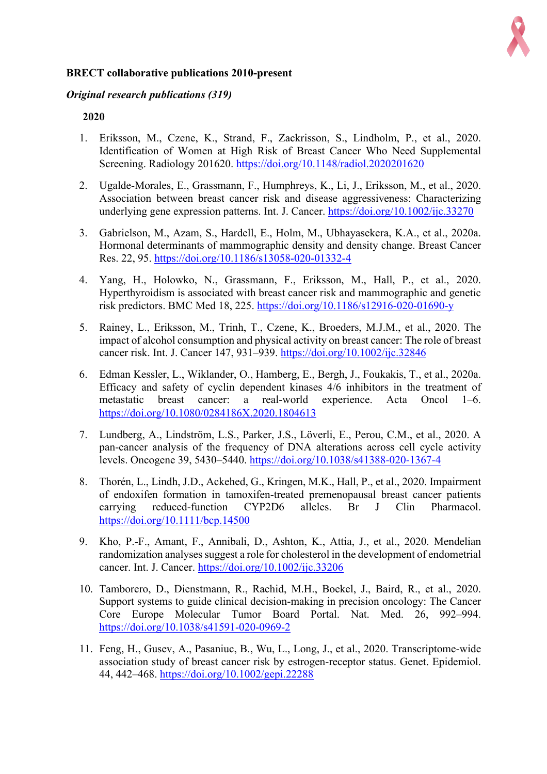

# **BRECT collaborative publications 2010-present**

### *Original research publications (319)*

- 1. Eriksson, M., Czene, K., Strand, F., Zackrisson, S., Lindholm, P., et al., 2020. Identification of Women at High Risk of Breast Cancer Who Need Supplemental Screening. Radiology 201620. https://doi.org/10.1148/radiol.2020201620
- 2. Ugalde-Morales, E., Grassmann, F., Humphreys, K., Li, J., Eriksson, M., et al., 2020. Association between breast cancer risk and disease aggressiveness: Characterizing underlying gene expression patterns. Int. J. Cancer. https://doi.org/10.1002/ijc.33270
- 3. Gabrielson, M., Azam, S., Hardell, E., Holm, M., Ubhayasekera, K.A., et al., 2020a. Hormonal determinants of mammographic density and density change. Breast Cancer Res. 22, 95. https://doi.org/10.1186/s13058-020-01332-4
- 4. Yang, H., Holowko, N., Grassmann, F., Eriksson, M., Hall, P., et al., 2020. Hyperthyroidism is associated with breast cancer risk and mammographic and genetic risk predictors. BMC Med 18, 225. https://doi.org/10.1186/s12916-020-01690-y
- 5. Rainey, L., Eriksson, M., Trinh, T., Czene, K., Broeders, M.J.M., et al., 2020. The impact of alcohol consumption and physical activity on breast cancer: The role of breast cancer risk. Int. J. Cancer 147, 931–939. https://doi.org/10.1002/ijc.32846
- 6. Edman Kessler, L., Wiklander, O., Hamberg, E., Bergh, J., Foukakis, T., et al., 2020a. Efficacy and safety of cyclin dependent kinases 4/6 inhibitors in the treatment of metastatic breast cancer: a real-world experience. Acta Oncol 1–6. https://doi.org/10.1080/0284186X.2020.1804613
- 7. Lundberg, A., Lindström, L.S., Parker, J.S., Löverli, E., Perou, C.M., et al., 2020. A pan-cancer analysis of the frequency of DNA alterations across cell cycle activity levels. Oncogene 39, 5430–5440. https://doi.org/10.1038/s41388-020-1367-4
- 8. Thorén, L., Lindh, J.D., Ackehed, G., Kringen, M.K., Hall, P., et al., 2020. Impairment of endoxifen formation in tamoxifen-treated premenopausal breast cancer patients carrying reduced-function CYP2D6 alleles. Br J Clin Pharmacol. https://doi.org/10.1111/bcp.14500
- 9. Kho, P.-F., Amant, F., Annibali, D., Ashton, K., Attia, J., et al., 2020. Mendelian randomization analyses suggest a role for cholesterol in the development of endometrial cancer. Int. J. Cancer. https://doi.org/10.1002/ijc.33206
- 10. Tamborero, D., Dienstmann, R., Rachid, M.H., Boekel, J., Baird, R., et al., 2020. Support systems to guide clinical decision-making in precision oncology: The Cancer Core Europe Molecular Tumor Board Portal. Nat. Med. 26, 992–994. https://doi.org/10.1038/s41591-020-0969-2
- 11. Feng, H., Gusev, A., Pasaniuc, B., Wu, L., Long, J., et al., 2020. Transcriptome-wide association study of breast cancer risk by estrogen-receptor status. Genet. Epidemiol. 44, 442–468. https://doi.org/10.1002/gepi.22288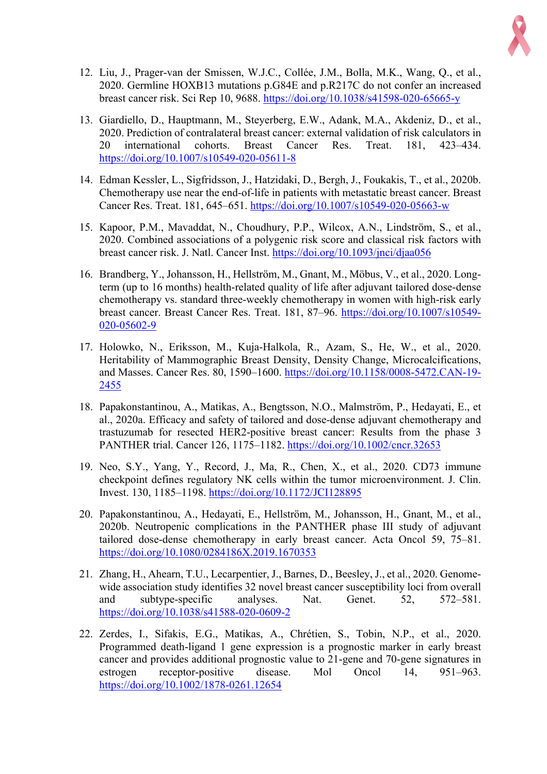

- 12. Liu, J., Prager-van der Smissen, W.J.C., Collée, J.M., Bolla, M.K., Wang, Q., et al., 2020. Germline HOXB13 mutations p.G84E and p.R217C do not confer an increased breast cancer risk. Sci Rep 10, 9688. https://doi.org/10.1038/s41598-020-65665-y
- 13. Giardiello, D., Hauptmann, M., Steyerberg, E.W., Adank, M.A., Akdeniz, D., et al., 2020. Prediction of contralateral breast cancer: external validation of risk calculators in 20 international cohorts. Breast Cancer Res. Treat. 181, 423–434. https://doi.org/10.1007/s10549-020-05611-8
- 14. Edman Kessler, L., Sigfridsson, J., Hatzidaki, D., Bergh, J., Foukakis, T., et al., 2020b. Chemotherapy use near the end-of-life in patients with metastatic breast cancer. Breast Cancer Res. Treat. 181, 645–651. https://doi.org/10.1007/s10549-020-05663-w
- 15. Kapoor, P.M., Mavaddat, N., Choudhury, P.P., Wilcox, A.N., Lindström, S., et al., 2020. Combined associations of a polygenic risk score and classical risk factors with breast cancer risk. J. Natl. Cancer Inst. https://doi.org/10.1093/jnci/djaa056
- 16. Brandberg, Y., Johansson, H., Hellström, M., Gnant, M., Möbus, V., et al., 2020. Longterm (up to 16 months) health-related quality of life after adjuvant tailored dose-dense chemotherapy vs. standard three-weekly chemotherapy in women with high-risk early breast cancer. Breast Cancer Res. Treat. 181, 87–96. https://doi.org/10.1007/s10549- 020-05602-9
- 17. Holowko, N., Eriksson, M., Kuja-Halkola, R., Azam, S., He, W., et al., 2020. Heritability of Mammographic Breast Density, Density Change, Microcalcifications, and Masses. Cancer Res. 80, 1590–1600. https://doi.org/10.1158/0008-5472.CAN-19- 2455
- 18. Papakonstantinou, A., Matikas, A., Bengtsson, N.O., Malmström, P., Hedayati, E., et al., 2020a. Efficacy and safety of tailored and dose-dense adjuvant chemotherapy and trastuzumab for resected HER2-positive breast cancer: Results from the phase 3 PANTHER trial. Cancer 126, 1175–1182. https://doi.org/10.1002/cncr.32653
- 19. Neo, S.Y., Yang, Y., Record, J., Ma, R., Chen, X., et al., 2020. CD73 immune checkpoint defines regulatory NK cells within the tumor microenvironment. J. Clin. Invest. 130, 1185–1198. https://doi.org/10.1172/JCI128895
- 20. Papakonstantinou, A., Hedayati, E., Hellström, M., Johansson, H., Gnant, M., et al., 2020b. Neutropenic complications in the PANTHER phase III study of adjuvant tailored dose-dense chemotherapy in early breast cancer. Acta Oncol 59, 75–81. https://doi.org/10.1080/0284186X.2019.1670353
- 21. Zhang, H., Ahearn, T.U., Lecarpentier, J., Barnes, D., Beesley, J., et al., 2020. Genomewide association study identifies 32 novel breast cancer susceptibility loci from overall and subtype-specific analyses. Nat. Genet. 52, 572–581. https://doi.org/10.1038/s41588-020-0609-2
- 22. Zerdes, I., Sifakis, E.G., Matikas, A., Chrétien, S., Tobin, N.P., et al., 2020. Programmed death-ligand 1 gene expression is a prognostic marker in early breast cancer and provides additional prognostic value to 21-gene and 70-gene signatures in estrogen receptor-positive disease. Mol Oncol 14, 951–963. https://doi.org/10.1002/1878-0261.12654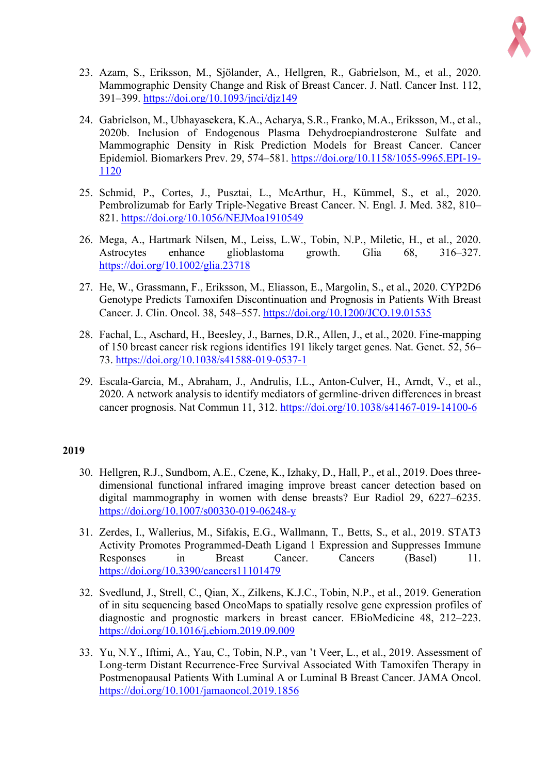

- 23. Azam, S., Eriksson, M., Sjölander, A., Hellgren, R., Gabrielson, M., et al., 2020. Mammographic Density Change and Risk of Breast Cancer. J. Natl. Cancer Inst. 112, 391–399. https://doi.org/10.1093/jnci/djz149
- 24. Gabrielson, M., Ubhayasekera, K.A., Acharya, S.R., Franko, M.A., Eriksson, M., et al., 2020b. Inclusion of Endogenous Plasma Dehydroepiandrosterone Sulfate and Mammographic Density in Risk Prediction Models for Breast Cancer. Cancer Epidemiol. Biomarkers Prev. 29, 574–581. https://doi.org/10.1158/1055-9965.EPI-19- 1120
- 25. Schmid, P., Cortes, J., Pusztai, L., McArthur, H., Kümmel, S., et al., 2020. Pembrolizumab for Early Triple-Negative Breast Cancer. N. Engl. J. Med. 382, 810– 821. https://doi.org/10.1056/NEJMoa1910549
- 26. Mega, A., Hartmark Nilsen, M., Leiss, L.W., Tobin, N.P., Miletic, H., et al., 2020. Astrocytes enhance glioblastoma growth. Glia 68, 316–327. https://doi.org/10.1002/glia.23718
- 27. He, W., Grassmann, F., Eriksson, M., Eliasson, E., Margolin, S., et al., 2020. CYP2D6 Genotype Predicts Tamoxifen Discontinuation and Prognosis in Patients With Breast Cancer. J. Clin. Oncol. 38, 548–557. https://doi.org/10.1200/JCO.19.01535
- 28. Fachal, L., Aschard, H., Beesley, J., Barnes, D.R., Allen, J., et al., 2020. Fine-mapping of 150 breast cancer risk regions identifies 191 likely target genes. Nat. Genet. 52, 56– 73. https://doi.org/10.1038/s41588-019-0537-1
- 29. Escala-Garcia, M., Abraham, J., Andrulis, I.L., Anton-Culver, H., Arndt, V., et al., 2020. A network analysis to identify mediators of germline-driven differences in breast cancer prognosis. Nat Commun 11, 312. https://doi.org/10.1038/s41467-019-14100-6

- 30. Hellgren, R.J., Sundbom, A.E., Czene, K., Izhaky, D., Hall, P., et al., 2019. Does threedimensional functional infrared imaging improve breast cancer detection based on digital mammography in women with dense breasts? Eur Radiol 29, 6227–6235. https://doi.org/10.1007/s00330-019-06248-y
- 31. Zerdes, I., Wallerius, M., Sifakis, E.G., Wallmann, T., Betts, S., et al., 2019. STAT3 Activity Promotes Programmed-Death Ligand 1 Expression and Suppresses Immune Responses in Breast Cancer. Cancers (Basel) 11. https://doi.org/10.3390/cancers11101479
- 32. Svedlund, J., Strell, C., Qian, X., Zilkens, K.J.C., Tobin, N.P., et al., 2019. Generation of in situ sequencing based OncoMaps to spatially resolve gene expression profiles of diagnostic and prognostic markers in breast cancer. EBioMedicine 48, 212–223. https://doi.org/10.1016/j.ebiom.2019.09.009
- 33. Yu, N.Y., Iftimi, A., Yau, C., Tobin, N.P., van 't Veer, L., et al., 2019. Assessment of Long-term Distant Recurrence-Free Survival Associated With Tamoxifen Therapy in Postmenopausal Patients With Luminal A or Luminal B Breast Cancer. JAMA Oncol. https://doi.org/10.1001/jamaoncol.2019.1856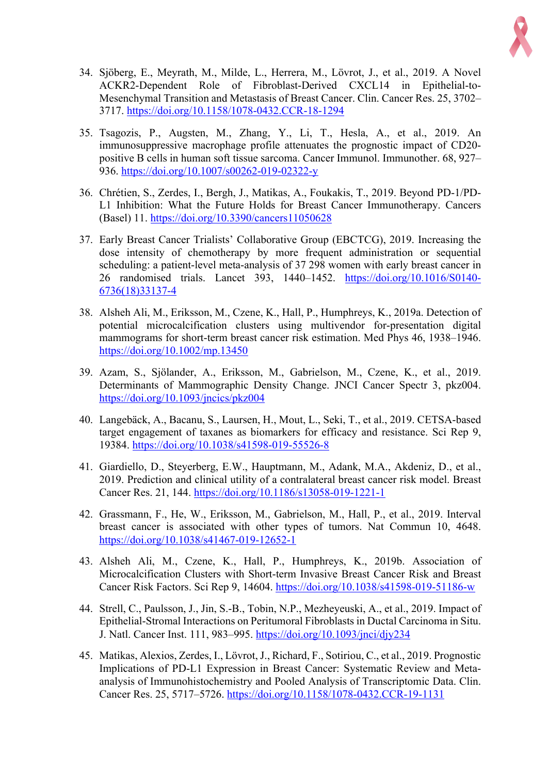

- 34. Sjöberg, E., Meyrath, M., Milde, L., Herrera, M., Lövrot, J., et al., 2019. A Novel ACKR2-Dependent Role of Fibroblast-Derived CXCL14 in Epithelial-to-Mesenchymal Transition and Metastasis of Breast Cancer. Clin. Cancer Res. 25, 3702– 3717. https://doi.org/10.1158/1078-0432.CCR-18-1294
- 35. Tsagozis, P., Augsten, M., Zhang, Y., Li, T., Hesla, A., et al., 2019. An immunosuppressive macrophage profile attenuates the prognostic impact of CD20 positive B cells in human soft tissue sarcoma. Cancer Immunol. Immunother. 68, 927– 936. https://doi.org/10.1007/s00262-019-02322-y
- 36. Chrétien, S., Zerdes, I., Bergh, J., Matikas, A., Foukakis, T., 2019. Beyond PD-1/PD-L1 Inhibition: What the Future Holds for Breast Cancer Immunotherapy. Cancers (Basel) 11. https://doi.org/10.3390/cancers11050628
- 37. Early Breast Cancer Trialists' Collaborative Group (EBCTCG), 2019. Increasing the dose intensity of chemotherapy by more frequent administration or sequential scheduling: a patient-level meta-analysis of 37 298 women with early breast cancer in 26 randomised trials. Lancet 393, 1440–1452. https://doi.org/10.1016/S0140- 6736(18)33137-4
- 38. Alsheh Ali, M., Eriksson, M., Czene, K., Hall, P., Humphreys, K., 2019a. Detection of potential microcalcification clusters using multivendor for-presentation digital mammograms for short-term breast cancer risk estimation. Med Phys 46, 1938–1946. https://doi.org/10.1002/mp.13450
- 39. Azam, S., Sjölander, A., Eriksson, M., Gabrielson, M., Czene, K., et al., 2019. Determinants of Mammographic Density Change. JNCI Cancer Spectr 3, pkz004. https://doi.org/10.1093/jncics/pkz004
- 40. Langebäck, A., Bacanu, S., Laursen, H., Mout, L., Seki, T., et al., 2019. CETSA-based target engagement of taxanes as biomarkers for efficacy and resistance. Sci Rep 9, 19384. https://doi.org/10.1038/s41598-019-55526-8
- 41. Giardiello, D., Steyerberg, E.W., Hauptmann, M., Adank, M.A., Akdeniz, D., et al., 2019. Prediction and clinical utility of a contralateral breast cancer risk model. Breast Cancer Res. 21, 144. https://doi.org/10.1186/s13058-019-1221-1
- 42. Grassmann, F., He, W., Eriksson, M., Gabrielson, M., Hall, P., et al., 2019. Interval breast cancer is associated with other types of tumors. Nat Commun 10, 4648. https://doi.org/10.1038/s41467-019-12652-1
- 43. Alsheh Ali, M., Czene, K., Hall, P., Humphreys, K., 2019b. Association of Microcalcification Clusters with Short-term Invasive Breast Cancer Risk and Breast Cancer Risk Factors. Sci Rep 9, 14604. https://doi.org/10.1038/s41598-019-51186-w
- 44. Strell, C., Paulsson, J., Jin, S.-B., Tobin, N.P., Mezheyeuski, A., et al., 2019. Impact of Epithelial-Stromal Interactions on Peritumoral Fibroblasts in Ductal Carcinoma in Situ. J. Natl. Cancer Inst. 111, 983–995. https://doi.org/10.1093/jnci/djy234
- 45. Matikas, Alexios, Zerdes, I., Lövrot, J., Richard, F., Sotiriou, C., et al., 2019. Prognostic Implications of PD-L1 Expression in Breast Cancer: Systematic Review and Metaanalysis of Immunohistochemistry and Pooled Analysis of Transcriptomic Data. Clin. Cancer Res. 25, 5717–5726. https://doi.org/10.1158/1078-0432.CCR-19-1131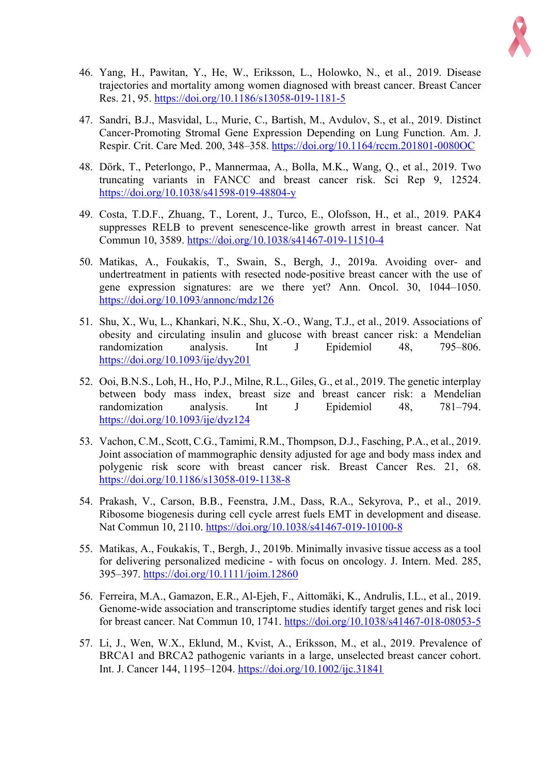

- 46. Yang, H., Pawitan, Y., He, W., Eriksson, L., Holowko, N., et al., 2019. Disease trajectories and mortality among women diagnosed with breast cancer. Breast Cancer Res. 21, 95. https://doi.org/10.1186/s13058-019-1181-5
- 47. Sandri, B.J., Masvidal, L., Murie, C., Bartish, M., Avdulov, S., et al., 2019. Distinct Cancer-Promoting Stromal Gene Expression Depending on Lung Function. Am. J. Respir. Crit. Care Med. 200, 348–358. https://doi.org/10.1164/rccm.201801-0080OC
- 48. Dörk, T., Peterlongo, P., Mannermaa, A., Bolla, M.K., Wang, Q., et al., 2019. Two truncating variants in FANCC and breast cancer risk. Sci Rep 9, 12524. https://doi.org/10.1038/s41598-019-48804-y
- 49. Costa, T.D.F., Zhuang, T., Lorent, J., Turco, E., Olofsson, H., et al., 2019. PAK4 suppresses RELB to prevent senescence-like growth arrest in breast cancer. Nat Commun 10, 3589. https://doi.org/10.1038/s41467-019-11510-4
- 50. Matikas, A., Foukakis, T., Swain, S., Bergh, J., 2019a. Avoiding over- and undertreatment in patients with resected node-positive breast cancer with the use of gene expression signatures: are we there yet? Ann. Oncol. 30, 1044–1050. https://doi.org/10.1093/annonc/mdz126
- 51. Shu, X., Wu, L., Khankari, N.K., Shu, X.-O., Wang, T.J., et al., 2019. Associations of obesity and circulating insulin and glucose with breast cancer risk: a Mendelian randomization analysis. Int J Epidemiol 48, 795–806. https://doi.org/10.1093/ije/dyy201
- 52. Ooi, B.N.S., Loh, H., Ho, P.J., Milne, R.L., Giles, G., et al., 2019. The genetic interplay between body mass index, breast size and breast cancer risk: a Mendelian randomization analysis. Int J Epidemiol 48, 781–794. https://doi.org/10.1093/ije/dyz124
- 53. Vachon, C.M., Scott, C.G., Tamimi, R.M., Thompson, D.J., Fasching, P.A., et al., 2019. Joint association of mammographic density adjusted for age and body mass index and polygenic risk score with breast cancer risk. Breast Cancer Res. 21, 68. https://doi.org/10.1186/s13058-019-1138-8
- 54. Prakash, V., Carson, B.B., Feenstra, J.M., Dass, R.A., Sekyrova, P., et al., 2019. Ribosome biogenesis during cell cycle arrest fuels EMT in development and disease. Nat Commun 10, 2110. https://doi.org/10.1038/s41467-019-10100-8
- 55. Matikas, A., Foukakis, T., Bergh, J., 2019b. Minimally invasive tissue access as a tool for delivering personalized medicine - with focus on oncology. J. Intern. Med. 285, 395–397. https://doi.org/10.1111/joim.12860
- 56. Ferreira, M.A., Gamazon, E.R., Al-Ejeh, F., Aittomäki, K., Andrulis, I.L., et al., 2019. Genome-wide association and transcriptome studies identify target genes and risk loci for breast cancer. Nat Commun 10, 1741. https://doi.org/10.1038/s41467-018-08053-5
- 57. Li, J., Wen, W.X., Eklund, M., Kvist, A., Eriksson, M., et al., 2019. Prevalence of BRCA1 and BRCA2 pathogenic variants in a large, unselected breast cancer cohort. Int. J. Cancer 144, 1195–1204. https://doi.org/10.1002/ijc.31841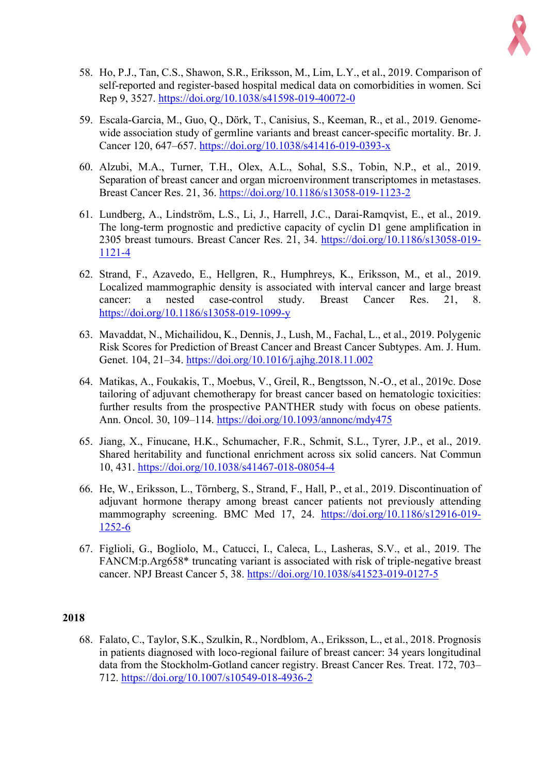

- 58. Ho, P.J., Tan, C.S., Shawon, S.R., Eriksson, M., Lim, L.Y., et al., 2019. Comparison of self-reported and register-based hospital medical data on comorbidities in women. Sci Rep 9, 3527. https://doi.org/10.1038/s41598-019-40072-0
- 59. Escala-Garcia, M., Guo, Q., Dörk, T., Canisius, S., Keeman, R., et al., 2019. Genomewide association study of germline variants and breast cancer-specific mortality. Br. J. Cancer 120, 647–657. https://doi.org/10.1038/s41416-019-0393-x
- 60. Alzubi, M.A., Turner, T.H., Olex, A.L., Sohal, S.S., Tobin, N.P., et al., 2019. Separation of breast cancer and organ microenvironment transcriptomes in metastases. Breast Cancer Res. 21, 36. https://doi.org/10.1186/s13058-019-1123-2
- 61. Lundberg, A., Lindström, L.S., Li, J., Harrell, J.C., Darai-Ramqvist, E., et al., 2019. The long-term prognostic and predictive capacity of cyclin D1 gene amplification in 2305 breast tumours. Breast Cancer Res. 21, 34. https://doi.org/10.1186/s13058-019- 1121-4
- 62. Strand, F., Azavedo, E., Hellgren, R., Humphreys, K., Eriksson, M., et al., 2019. Localized mammographic density is associated with interval cancer and large breast cancer: a nested case-control study. Breast Cancer Res. 21, 8. https://doi.org/10.1186/s13058-019-1099-y
- 63. Mavaddat, N., Michailidou, K., Dennis, J., Lush, M., Fachal, L., et al., 2019. Polygenic Risk Scores for Prediction of Breast Cancer and Breast Cancer Subtypes. Am. J. Hum. Genet. 104, 21–34. https://doi.org/10.1016/j.ajhg.2018.11.002
- 64. Matikas, A., Foukakis, T., Moebus, V., Greil, R., Bengtsson, N.-O., et al., 2019c. Dose tailoring of adjuvant chemotherapy for breast cancer based on hematologic toxicities: further results from the prospective PANTHER study with focus on obese patients. Ann. Oncol. 30, 109–114. https://doi.org/10.1093/annonc/mdy475
- 65. Jiang, X., Finucane, H.K., Schumacher, F.R., Schmit, S.L., Tyrer, J.P., et al., 2019. Shared heritability and functional enrichment across six solid cancers. Nat Commun 10, 431. https://doi.org/10.1038/s41467-018-08054-4
- 66. He, W., Eriksson, L., Törnberg, S., Strand, F., Hall, P., et al., 2019. Discontinuation of adjuvant hormone therapy among breast cancer patients not previously attending mammography screening. BMC Med 17, 24. https://doi.org/10.1186/s12916-019-1252-6
- 67. Figlioli, G., Bogliolo, M., Catucci, I., Caleca, L., Lasheras, S.V., et al., 2019. The FANCM:p.Arg658\* truncating variant is associated with risk of triple-negative breast cancer. NPJ Breast Cancer 5, 38. https://doi.org/10.1038/s41523-019-0127-5

68. Falato, C., Taylor, S.K., Szulkin, R., Nordblom, A., Eriksson, L., et al., 2018. Prognosis in patients diagnosed with loco-regional failure of breast cancer: 34 years longitudinal data from the Stockholm-Gotland cancer registry. Breast Cancer Res. Treat. 172, 703– 712. https://doi.org/10.1007/s10549-018-4936-2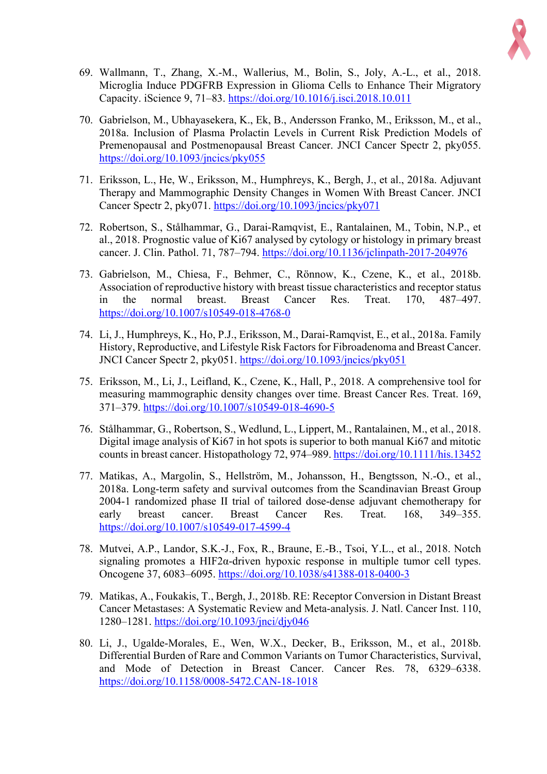

- 69. Wallmann, T., Zhang, X.-M., Wallerius, M., Bolin, S., Joly, A.-L., et al., 2018. Microglia Induce PDGFRB Expression in Glioma Cells to Enhance Their Migratory Capacity. iScience 9, 71–83. https://doi.org/10.1016/j.isci.2018.10.011
- 70. Gabrielson, M., Ubhayasekera, K., Ek, B., Andersson Franko, M., Eriksson, M., et al., 2018a. Inclusion of Plasma Prolactin Levels in Current Risk Prediction Models of Premenopausal and Postmenopausal Breast Cancer. JNCI Cancer Spectr 2, pky055. https://doi.org/10.1093/jncics/pky055
- 71. Eriksson, L., He, W., Eriksson, M., Humphreys, K., Bergh, J., et al., 2018a. Adjuvant Therapy and Mammographic Density Changes in Women With Breast Cancer. JNCI Cancer Spectr 2, pky071. https://doi.org/10.1093/jncics/pky071
- 72. Robertson, S., Stålhammar, G., Darai-Ramqvist, E., Rantalainen, M., Tobin, N.P., et al., 2018. Prognostic value of Ki67 analysed by cytology or histology in primary breast cancer. J. Clin. Pathol. 71, 787–794. https://doi.org/10.1136/jclinpath-2017-204976
- 73. Gabrielson, M., Chiesa, F., Behmer, C., Rönnow, K., Czene, K., et al., 2018b. Association of reproductive history with breast tissue characteristics and receptor status in the normal breast. Breast Cancer Res. Treat. 170, 487–497. https://doi.org/10.1007/s10549-018-4768-0
- 74. Li, J., Humphreys, K., Ho, P.J., Eriksson, M., Darai-Ramqvist, E., et al., 2018a. Family History, Reproductive, and Lifestyle Risk Factors for Fibroadenoma and Breast Cancer. JNCI Cancer Spectr 2, pky051. https://doi.org/10.1093/jncics/pky051
- 75. Eriksson, M., Li, J., Leifland, K., Czene, K., Hall, P., 2018. A comprehensive tool for measuring mammographic density changes over time. Breast Cancer Res. Treat. 169, 371–379. https://doi.org/10.1007/s10549-018-4690-5
- 76. Stålhammar, G., Robertson, S., Wedlund, L., Lippert, M., Rantalainen, M., et al., 2018. Digital image analysis of Ki67 in hot spots is superior to both manual Ki67 and mitotic counts in breast cancer. Histopathology 72, 974–989. https://doi.org/10.1111/his.13452
- 77. Matikas, A., Margolin, S., Hellström, M., Johansson, H., Bengtsson, N.-O., et al., 2018a. Long-term safety and survival outcomes from the Scandinavian Breast Group 2004-1 randomized phase II trial of tailored dose-dense adjuvant chemotherapy for early breast cancer. Breast Cancer Res. Treat. 168, 349–355. https://doi.org/10.1007/s10549-017-4599-4
- 78. Mutvei, A.P., Landor, S.K.-J., Fox, R., Braune, E.-B., Tsoi, Y.L., et al., 2018. Notch signaling promotes a HIF2α-driven hypoxic response in multiple tumor cell types. Oncogene 37, 6083–6095. https://doi.org/10.1038/s41388-018-0400-3
- 79. Matikas, A., Foukakis, T., Bergh, J., 2018b. RE: Receptor Conversion in Distant Breast Cancer Metastases: A Systematic Review and Meta-analysis. J. Natl. Cancer Inst. 110, 1280–1281. https://doi.org/10.1093/jnci/djy046
- 80. Li, J., Ugalde-Morales, E., Wen, W.X., Decker, B., Eriksson, M., et al., 2018b. Differential Burden of Rare and Common Variants on Tumor Characteristics, Survival, and Mode of Detection in Breast Cancer. Cancer Res. 78, 6329–6338. https://doi.org/10.1158/0008-5472.CAN-18-1018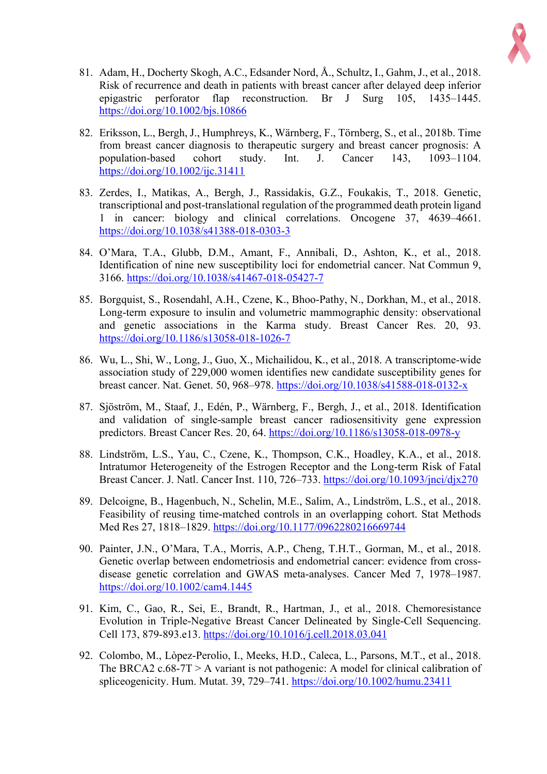

- 81. Adam, H., Docherty Skogh, A.C., Edsander Nord, Å., Schultz, I., Gahm, J., et al., 2018. Risk of recurrence and death in patients with breast cancer after delayed deep inferior epigastric perforator flap reconstruction. Br J Surg 105, 1435–1445. https://doi.org/10.1002/bjs.10866
- 82. Eriksson, L., Bergh, J., Humphreys, K., Wärnberg, F., Törnberg, S., et al., 2018b. Time from breast cancer diagnosis to therapeutic surgery and breast cancer prognosis: A population-based cohort study. Int. J. Cancer 143, 1093–1104. https://doi.org/10.1002/ijc.31411
- 83. Zerdes, I., Matikas, A., Bergh, J., Rassidakis, G.Z., Foukakis, T., 2018. Genetic, transcriptional and post-translational regulation of the programmed death protein ligand 1 in cancer: biology and clinical correlations. Oncogene 37, 4639–4661. https://doi.org/10.1038/s41388-018-0303-3
- 84. O'Mara, T.A., Glubb, D.M., Amant, F., Annibali, D., Ashton, K., et al., 2018. Identification of nine new susceptibility loci for endometrial cancer. Nat Commun 9, 3166. https://doi.org/10.1038/s41467-018-05427-7
- 85. Borgquist, S., Rosendahl, A.H., Czene, K., Bhoo-Pathy, N., Dorkhan, M., et al., 2018. Long-term exposure to insulin and volumetric mammographic density: observational and genetic associations in the Karma study. Breast Cancer Res. 20, 93. https://doi.org/10.1186/s13058-018-1026-7
- 86. Wu, L., Shi, W., Long, J., Guo, X., Michailidou, K., et al., 2018. A transcriptome-wide association study of 229,000 women identifies new candidate susceptibility genes for breast cancer. Nat. Genet. 50, 968–978. https://doi.org/10.1038/s41588-018-0132-x
- 87. Sjöström, M., Staaf, J., Edén, P., Wärnberg, F., Bergh, J., et al., 2018. Identification and validation of single-sample breast cancer radiosensitivity gene expression predictors. Breast Cancer Res. 20, 64. https://doi.org/10.1186/s13058-018-0978-y
- 88. Lindström, L.S., Yau, C., Czene, K., Thompson, C.K., Hoadley, K.A., et al., 2018. Intratumor Heterogeneity of the Estrogen Receptor and the Long-term Risk of Fatal Breast Cancer. J. Natl. Cancer Inst. 110, 726–733. https://doi.org/10.1093/jnci/djx270
- 89. Delcoigne, B., Hagenbuch, N., Schelin, M.E., Salim, A., Lindström, L.S., et al., 2018. Feasibility of reusing time-matched controls in an overlapping cohort. Stat Methods Med Res 27, 1818–1829. https://doi.org/10.1177/0962280216669744
- 90. Painter, J.N., O'Mara, T.A., Morris, A.P., Cheng, T.H.T., Gorman, M., et al., 2018. Genetic overlap between endometriosis and endometrial cancer: evidence from crossdisease genetic correlation and GWAS meta-analyses. Cancer Med 7, 1978–1987. https://doi.org/10.1002/cam4.1445
- 91. Kim, C., Gao, R., Sei, E., Brandt, R., Hartman, J., et al., 2018. Chemoresistance Evolution in Triple-Negative Breast Cancer Delineated by Single-Cell Sequencing. Cell 173, 879-893.e13. https://doi.org/10.1016/j.cell.2018.03.041
- 92. Colombo, M., Lòpez-Perolio, I., Meeks, H.D., Caleca, L., Parsons, M.T., et al., 2018. The BRCA2 c.68-7T > A variant is not pathogenic: A model for clinical calibration of spliceogenicity. Hum. Mutat. 39, 729–741. https://doi.org/10.1002/humu.23411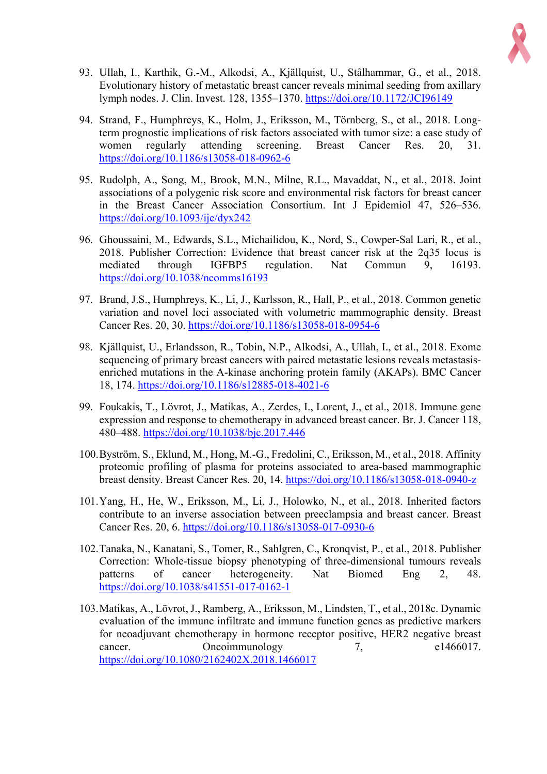

- 93. Ullah, I., Karthik, G.-M., Alkodsi, A., Kjällquist, U., Stålhammar, G., et al., 2018. Evolutionary history of metastatic breast cancer reveals minimal seeding from axillary lymph nodes. J. Clin. Invest. 128, 1355–1370. https://doi.org/10.1172/JCI96149
- 94. Strand, F., Humphreys, K., Holm, J., Eriksson, M., Törnberg, S., et al., 2018. Longterm prognostic implications of risk factors associated with tumor size: a case study of women regularly attending screening. Breast Cancer Res. 20, 31. https://doi.org/10.1186/s13058-018-0962-6
- 95. Rudolph, A., Song, M., Brook, M.N., Milne, R.L., Mavaddat, N., et al., 2018. Joint associations of a polygenic risk score and environmental risk factors for breast cancer in the Breast Cancer Association Consortium. Int J Epidemiol 47, 526–536. https://doi.org/10.1093/ije/dyx242
- 96. Ghoussaini, M., Edwards, S.L., Michailidou, K., Nord, S., Cowper-Sal Lari, R., et al., 2018. Publisher Correction: Evidence that breast cancer risk at the 2q35 locus is mediated through IGFBP5 regulation. Nat Commun 9, 16193. https://doi.org/10.1038/ncomms16193
- 97. Brand, J.S., Humphreys, K., Li, J., Karlsson, R., Hall, P., et al., 2018. Common genetic variation and novel loci associated with volumetric mammographic density. Breast Cancer Res. 20, 30. https://doi.org/10.1186/s13058-018-0954-6
- 98. Kjällquist, U., Erlandsson, R., Tobin, N.P., Alkodsi, A., Ullah, I., et al., 2018. Exome sequencing of primary breast cancers with paired metastatic lesions reveals metastasisenriched mutations in the A-kinase anchoring protein family (AKAPs). BMC Cancer 18, 174. https://doi.org/10.1186/s12885-018-4021-6
- 99. Foukakis, T., Lövrot, J., Matikas, A., Zerdes, I., Lorent, J., et al., 2018. Immune gene expression and response to chemotherapy in advanced breast cancer. Br. J. Cancer 118, 480–488. https://doi.org/10.1038/bjc.2017.446
- 100.Byström, S., Eklund, M., Hong, M.-G., Fredolini, C., Eriksson, M., et al., 2018. Affinity proteomic profiling of plasma for proteins associated to area-based mammographic breast density. Breast Cancer Res. 20, 14. https://doi.org/10.1186/s13058-018-0940-z
- 101.Yang, H., He, W., Eriksson, M., Li, J., Holowko, N., et al., 2018. Inherited factors contribute to an inverse association between preeclampsia and breast cancer. Breast Cancer Res. 20, 6. https://doi.org/10.1186/s13058-017-0930-6
- 102.Tanaka, N., Kanatani, S., Tomer, R., Sahlgren, C., Kronqvist, P., et al., 2018. Publisher Correction: Whole-tissue biopsy phenotyping of three-dimensional tumours reveals patterns of cancer heterogeneity. Nat Biomed Eng 2, 48. https://doi.org/10.1038/s41551-017-0162-1
- 103.Matikas, A., Lövrot, J., Ramberg, A., Eriksson, M., Lindsten, T., et al., 2018c. Dynamic evaluation of the immune infiltrate and immune function genes as predictive markers for neoadjuvant chemotherapy in hormone receptor positive, HER2 negative breast cancer. Oncoimmunology 7, e1466017. https://doi.org/10.1080/2162402X.2018.1466017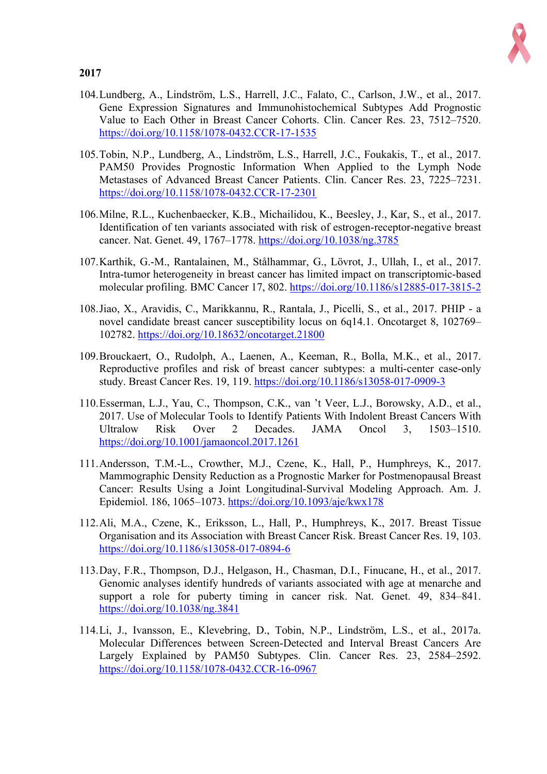

- 104.Lundberg, A., Lindström, L.S., Harrell, J.C., Falato, C., Carlson, J.W., et al., 2017. Gene Expression Signatures and Immunohistochemical Subtypes Add Prognostic Value to Each Other in Breast Cancer Cohorts. Clin. Cancer Res. 23, 7512–7520. https://doi.org/10.1158/1078-0432.CCR-17-1535
- 105.Tobin, N.P., Lundberg, A., Lindström, L.S., Harrell, J.C., Foukakis, T., et al., 2017. PAM50 Provides Prognostic Information When Applied to the Lymph Node Metastases of Advanced Breast Cancer Patients. Clin. Cancer Res. 23, 7225–7231. https://doi.org/10.1158/1078-0432.CCR-17-2301
- 106.Milne, R.L., Kuchenbaecker, K.B., Michailidou, K., Beesley, J., Kar, S., et al., 2017. Identification of ten variants associated with risk of estrogen-receptor-negative breast cancer. Nat. Genet. 49, 1767–1778. https://doi.org/10.1038/ng.3785
- 107.Karthik, G.-M., Rantalainen, M., Stålhammar, G., Lövrot, J., Ullah, I., et al., 2017. Intra-tumor heterogeneity in breast cancer has limited impact on transcriptomic-based molecular profiling. BMC Cancer 17, 802. https://doi.org/10.1186/s12885-017-3815-2
- 108.Jiao, X., Aravidis, C., Marikkannu, R., Rantala, J., Picelli, S., et al., 2017. PHIP a novel candidate breast cancer susceptibility locus on 6q14.1. Oncotarget 8, 102769– 102782. https://doi.org/10.18632/oncotarget.21800
- 109.Brouckaert, O., Rudolph, A., Laenen, A., Keeman, R., Bolla, M.K., et al., 2017. Reproductive profiles and risk of breast cancer subtypes: a multi-center case-only study. Breast Cancer Res. 19, 119. https://doi.org/10.1186/s13058-017-0909-3
- 110.Esserman, L.J., Yau, C., Thompson, C.K., van 't Veer, L.J., Borowsky, A.D., et al., 2017. Use of Molecular Tools to Identify Patients With Indolent Breast Cancers With Ultralow Risk Over 2 Decades. JAMA Oncol 3, 1503–1510. https://doi.org/10.1001/jamaoncol.2017.1261
- 111.Andersson, T.M.-L., Crowther, M.J., Czene, K., Hall, P., Humphreys, K., 2017. Mammographic Density Reduction as a Prognostic Marker for Postmenopausal Breast Cancer: Results Using a Joint Longitudinal-Survival Modeling Approach. Am. J. Epidemiol. 186, 1065–1073. https://doi.org/10.1093/aje/kwx178
- 112.Ali, M.A., Czene, K., Eriksson, L., Hall, P., Humphreys, K., 2017. Breast Tissue Organisation and its Association with Breast Cancer Risk. Breast Cancer Res. 19, 103. https://doi.org/10.1186/s13058-017-0894-6
- 113.Day, F.R., Thompson, D.J., Helgason, H., Chasman, D.I., Finucane, H., et al., 2017. Genomic analyses identify hundreds of variants associated with age at menarche and support a role for puberty timing in cancer risk. Nat. Genet. 49, 834–841. https://doi.org/10.1038/ng.3841
- 114.Li, J., Ivansson, E., Klevebring, D., Tobin, N.P., Lindström, L.S., et al., 2017a. Molecular Differences between Screen-Detected and Interval Breast Cancers Are Largely Explained by PAM50 Subtypes. Clin. Cancer Res. 23, 2584–2592. https://doi.org/10.1158/1078-0432.CCR-16-0967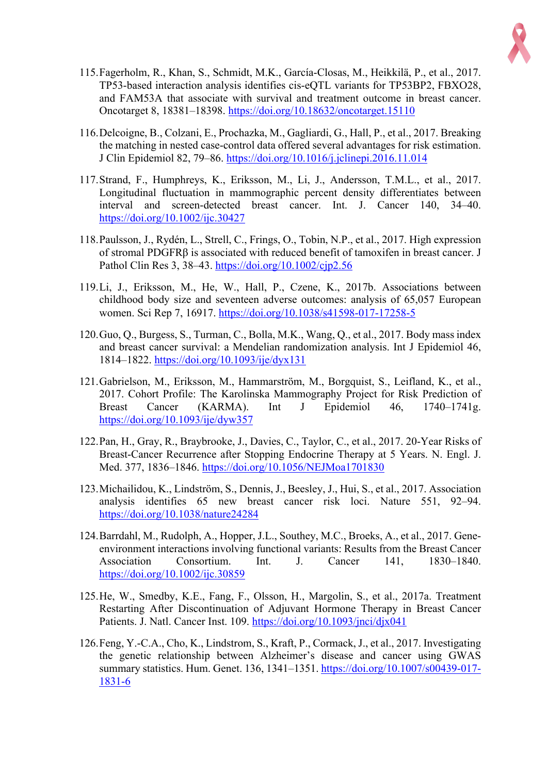

- 115.Fagerholm, R., Khan, S., Schmidt, M.K., García-Closas, M., Heikkilä, P., et al., 2017. TP53-based interaction analysis identifies cis-eQTL variants for TP53BP2, FBXO28, and FAM53A that associate with survival and treatment outcome in breast cancer. Oncotarget 8, 18381–18398. https://doi.org/10.18632/oncotarget.15110
- 116.Delcoigne, B., Colzani, E., Prochazka, M., Gagliardi, G., Hall, P., et al., 2017. Breaking the matching in nested case-control data offered several advantages for risk estimation. J Clin Epidemiol 82, 79–86. https://doi.org/10.1016/j.jclinepi.2016.11.014
- 117.Strand, F., Humphreys, K., Eriksson, M., Li, J., Andersson, T.M.L., et al., 2017. Longitudinal fluctuation in mammographic percent density differentiates between interval and screen-detected breast cancer. Int. J. Cancer 140, 34–40. https://doi.org/10.1002/ijc.30427
- 118.Paulsson, J., Rydén, L., Strell, C., Frings, O., Tobin, N.P., et al., 2017. High expression of stromal PDGFR $\beta$  is associated with reduced benefit of tamoxifen in breast cancer. J Pathol Clin Res 3, 38–43. https://doi.org/10.1002/cjp2.56
- 119.Li, J., Eriksson, M., He, W., Hall, P., Czene, K., 2017b. Associations between childhood body size and seventeen adverse outcomes: analysis of 65,057 European women. Sci Rep 7, 16917. https://doi.org/10.1038/s41598-017-17258-5
- 120.Guo, Q., Burgess, S., Turman, C., Bolla, M.K., Wang, Q., et al., 2017. Body mass index and breast cancer survival: a Mendelian randomization analysis. Int J Epidemiol 46, 1814–1822. https://doi.org/10.1093/ije/dyx131
- 121.Gabrielson, M., Eriksson, M., Hammarström, M., Borgquist, S., Leifland, K., et al., 2017. Cohort Profile: The Karolinska Mammography Project for Risk Prediction of Breast Cancer (KARMA). Int J Epidemiol 46, 1740–1741g. https://doi.org/10.1093/ije/dyw357
- 122.Pan, H., Gray, R., Braybrooke, J., Davies, C., Taylor, C., et al., 2017. 20-Year Risks of Breast-Cancer Recurrence after Stopping Endocrine Therapy at 5 Years. N. Engl. J. Med. 377, 1836–1846. https://doi.org/10.1056/NEJMoa1701830
- 123.Michailidou, K., Lindström, S., Dennis, J., Beesley, J., Hui, S., et al., 2017. Association analysis identifies 65 new breast cancer risk loci. Nature 551, 92–94. https://doi.org/10.1038/nature24284
- 124.Barrdahl, M., Rudolph, A., Hopper, J.L., Southey, M.C., Broeks, A., et al., 2017. Geneenvironment interactions involving functional variants: Results from the Breast Cancer Association Consortium. Int. J. Cancer 141, 1830–1840. https://doi.org/10.1002/ijc.30859
- 125.He, W., Smedby, K.E., Fang, F., Olsson, H., Margolin, S., et al., 2017a. Treatment Restarting After Discontinuation of Adjuvant Hormone Therapy in Breast Cancer Patients. J. Natl. Cancer Inst. 109. https://doi.org/10.1093/jnci/djx041
- 126.Feng, Y.-C.A., Cho, K., Lindstrom, S., Kraft, P., Cormack, J., et al., 2017. Investigating the genetic relationship between Alzheimer's disease and cancer using GWAS summary statistics. Hum. Genet. 136, 1341–1351. https://doi.org/10.1007/s00439-017- 1831-6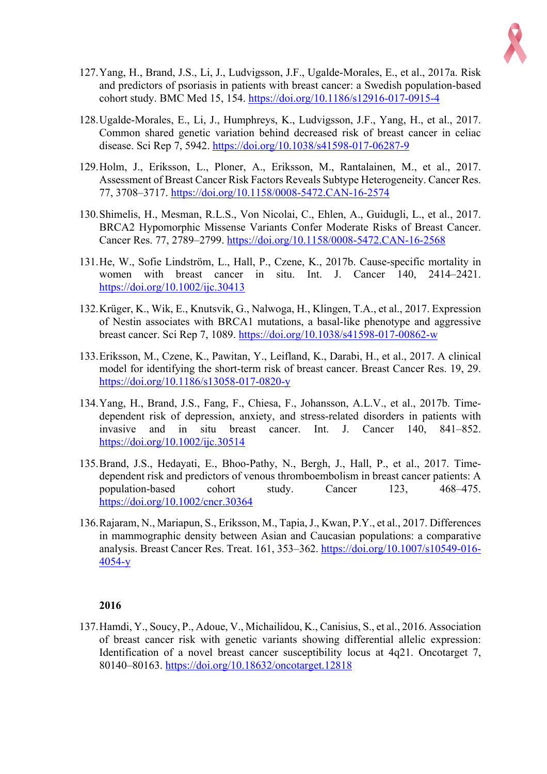

- 127.Yang, H., Brand, J.S., Li, J., Ludvigsson, J.F., Ugalde-Morales, E., et al., 2017a. Risk and predictors of psoriasis in patients with breast cancer: a Swedish population-based cohort study. BMC Med 15, 154. https://doi.org/10.1186/s12916-017-0915-4
- 128.Ugalde-Morales, E., Li, J., Humphreys, K., Ludvigsson, J.F., Yang, H., et al., 2017. Common shared genetic variation behind decreased risk of breast cancer in celiac disease. Sci Rep 7, 5942. https://doi.org/10.1038/s41598-017-06287-9
- 129.Holm, J., Eriksson, L., Ploner, A., Eriksson, M., Rantalainen, M., et al., 2017. Assessment of Breast Cancer Risk Factors Reveals Subtype Heterogeneity. Cancer Res. 77, 3708–3717. https://doi.org/10.1158/0008-5472.CAN-16-2574
- 130.Shimelis, H., Mesman, R.L.S., Von Nicolai, C., Ehlen, A., Guidugli, L., et al., 2017. BRCA2 Hypomorphic Missense Variants Confer Moderate Risks of Breast Cancer. Cancer Res. 77, 2789–2799. https://doi.org/10.1158/0008-5472.CAN-16-2568
- 131.He, W., Sofie Lindström, L., Hall, P., Czene, K., 2017b. Cause-specific mortality in women with breast cancer in situ. Int. J. Cancer 140, 2414–2421. https://doi.org/10.1002/ijc.30413
- 132.Krüger, K., Wik, E., Knutsvik, G., Nalwoga, H., Klingen, T.A., et al., 2017. Expression of Nestin associates with BRCA1 mutations, a basal-like phenotype and aggressive breast cancer. Sci Rep 7, 1089. https://doi.org/10.1038/s41598-017-00862-w
- 133.Eriksson, M., Czene, K., Pawitan, Y., Leifland, K., Darabi, H., et al., 2017. A clinical model for identifying the short-term risk of breast cancer. Breast Cancer Res. 19, 29. https://doi.org/10.1186/s13058-017-0820-y
- 134.Yang, H., Brand, J.S., Fang, F., Chiesa, F., Johansson, A.L.V., et al., 2017b. Timedependent risk of depression, anxiety, and stress-related disorders in patients with invasive and in situ breast cancer. Int. J. Cancer 140, 841–852. https://doi.org/10.1002/ijc.30514
- 135.Brand, J.S., Hedayati, E., Bhoo-Pathy, N., Bergh, J., Hall, P., et al., 2017. Timedependent risk and predictors of venous thromboembolism in breast cancer patients: A population-based cohort study. Cancer 123, 468–475. https://doi.org/10.1002/cncr.30364
- 136.Rajaram, N., Mariapun, S., Eriksson, M., Tapia, J., Kwan, P.Y., et al., 2017. Differences in mammographic density between Asian and Caucasian populations: a comparative analysis. Breast Cancer Res. Treat. 161, 353–362. https://doi.org/10.1007/s10549-016- 4054-y

137.Hamdi, Y., Soucy, P., Adoue, V., Michailidou, K., Canisius, S., et al., 2016. Association of breast cancer risk with genetic variants showing differential allelic expression: Identification of a novel breast cancer susceptibility locus at 4q21. Oncotarget 7, 80140–80163. https://doi.org/10.18632/oncotarget.12818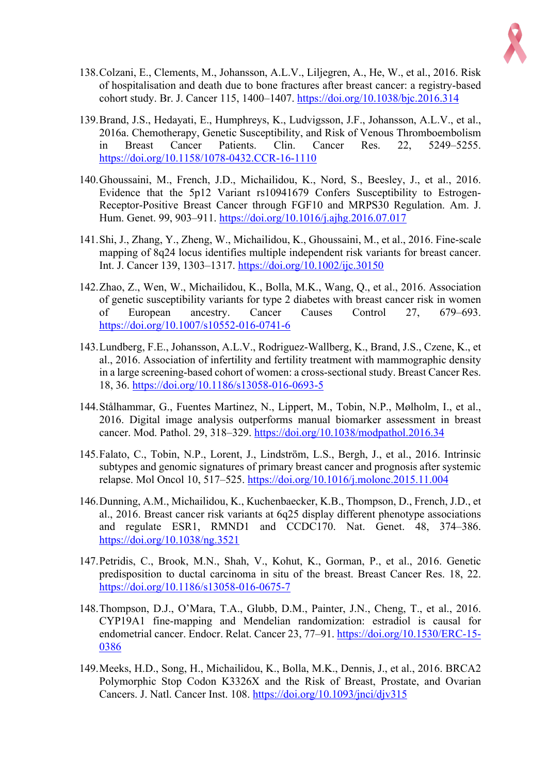

- 138.Colzani, E., Clements, M., Johansson, A.L.V., Liljegren, A., He, W., et al., 2016. Risk of hospitalisation and death due to bone fractures after breast cancer: a registry-based cohort study. Br. J. Cancer 115, 1400–1407. https://doi.org/10.1038/bjc.2016.314
- 139.Brand, J.S., Hedayati, E., Humphreys, K., Ludvigsson, J.F., Johansson, A.L.V., et al., 2016a. Chemotherapy, Genetic Susceptibility, and Risk of Venous Thromboembolism in Breast Cancer Patients. Clin. Cancer Res. 22, 5249–5255. https://doi.org/10.1158/1078-0432.CCR-16-1110
- 140.Ghoussaini, M., French, J.D., Michailidou, K., Nord, S., Beesley, J., et al., 2016. Evidence that the 5p12 Variant rs10941679 Confers Susceptibility to Estrogen-Receptor-Positive Breast Cancer through FGF10 and MRPS30 Regulation. Am. J. Hum. Genet. 99, 903–911. https://doi.org/10.1016/j.ajhg.2016.07.017
- 141.Shi, J., Zhang, Y., Zheng, W., Michailidou, K., Ghoussaini, M., et al., 2016. Fine-scale mapping of 8q24 locus identifies multiple independent risk variants for breast cancer. Int. J. Cancer 139, 1303–1317. https://doi.org/10.1002/ijc.30150
- 142.Zhao, Z., Wen, W., Michailidou, K., Bolla, M.K., Wang, Q., et al., 2016. Association of genetic susceptibility variants for type 2 diabetes with breast cancer risk in women of European ancestry. Cancer Causes Control 27, 679–693. https://doi.org/10.1007/s10552-016-0741-6
- 143.Lundberg, F.E., Johansson, A.L.V., Rodriguez-Wallberg, K., Brand, J.S., Czene, K., et al., 2016. Association of infertility and fertility treatment with mammographic density in a large screening-based cohort of women: a cross-sectional study. Breast Cancer Res. 18, 36. https://doi.org/10.1186/s13058-016-0693-5
- 144.Stålhammar, G., Fuentes Martinez, N., Lippert, M., Tobin, N.P., Mølholm, I., et al., 2016. Digital image analysis outperforms manual biomarker assessment in breast cancer. Mod. Pathol. 29, 318–329. https://doi.org/10.1038/modpathol.2016.34
- 145.Falato, C., Tobin, N.P., Lorent, J., Lindström, L.S., Bergh, J., et al., 2016. Intrinsic subtypes and genomic signatures of primary breast cancer and prognosis after systemic relapse. Mol Oncol 10, 517–525. https://doi.org/10.1016/j.molonc.2015.11.004
- 146.Dunning, A.M., Michailidou, K., Kuchenbaecker, K.B., Thompson, D., French, J.D., et al., 2016. Breast cancer risk variants at 6q25 display different phenotype associations and regulate ESR1, RMND1 and CCDC170. Nat. Genet. 48, 374–386. https://doi.org/10.1038/ng.3521
- 147.Petridis, C., Brook, M.N., Shah, V., Kohut, K., Gorman, P., et al., 2016. Genetic predisposition to ductal carcinoma in situ of the breast. Breast Cancer Res. 18, 22. https://doi.org/10.1186/s13058-016-0675-7
- 148.Thompson, D.J., O'Mara, T.A., Glubb, D.M., Painter, J.N., Cheng, T., et al., 2016. CYP19A1 fine-mapping and Mendelian randomization: estradiol is causal for endometrial cancer. Endocr. Relat. Cancer 23, 77–91. https://doi.org/10.1530/ERC-15- 0386
- 149.Meeks, H.D., Song, H., Michailidou, K., Bolla, M.K., Dennis, J., et al., 2016. BRCA2 Polymorphic Stop Codon K3326X and the Risk of Breast, Prostate, and Ovarian Cancers. J. Natl. Cancer Inst. 108. https://doi.org/10.1093/jnci/djv315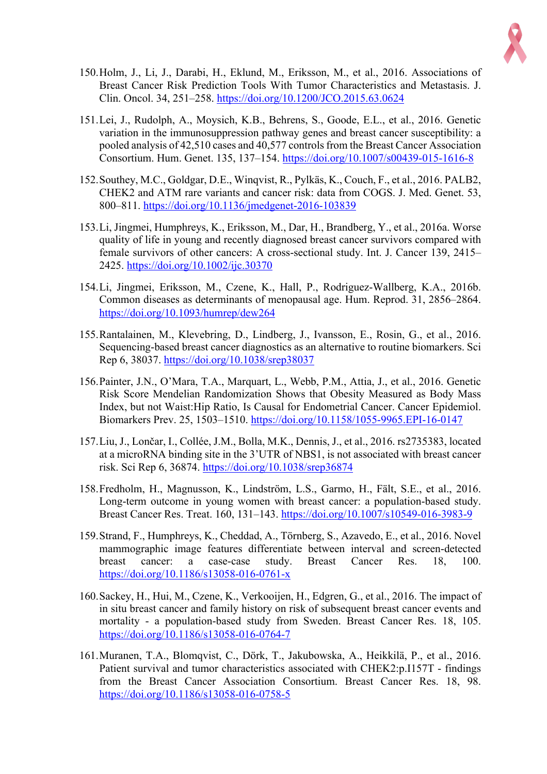

- 150.Holm, J., Li, J., Darabi, H., Eklund, M., Eriksson, M., et al., 2016. Associations of Breast Cancer Risk Prediction Tools With Tumor Characteristics and Metastasis. J. Clin. Oncol. 34, 251–258. https://doi.org/10.1200/JCO.2015.63.0624
- 151.Lei, J., Rudolph, A., Moysich, K.B., Behrens, S., Goode, E.L., et al., 2016. Genetic variation in the immunosuppression pathway genes and breast cancer susceptibility: a pooled analysis of 42,510 cases and 40,577 controls from the Breast Cancer Association Consortium. Hum. Genet. 135, 137–154. https://doi.org/10.1007/s00439-015-1616-8
- 152.Southey, M.C., Goldgar, D.E., Winqvist, R., Pylkäs, K., Couch, F., et al., 2016. PALB2, CHEK2 and ATM rare variants and cancer risk: data from COGS. J. Med. Genet. 53, 800–811. https://doi.org/10.1136/jmedgenet-2016-103839
- 153.Li, Jingmei, Humphreys, K., Eriksson, M., Dar, H., Brandberg, Y., et al., 2016a. Worse quality of life in young and recently diagnosed breast cancer survivors compared with female survivors of other cancers: A cross-sectional study. Int. J. Cancer 139, 2415– 2425. https://doi.org/10.1002/ijc.30370
- 154.Li, Jingmei, Eriksson, M., Czene, K., Hall, P., Rodriguez-Wallberg, K.A., 2016b. Common diseases as determinants of menopausal age. Hum. Reprod. 31, 2856–2864. https://doi.org/10.1093/humrep/dew264
- 155.Rantalainen, M., Klevebring, D., Lindberg, J., Ivansson, E., Rosin, G., et al., 2016. Sequencing-based breast cancer diagnostics as an alternative to routine biomarkers. Sci Rep 6, 38037. https://doi.org/10.1038/srep38037
- 156.Painter, J.N., O'Mara, T.A., Marquart, L., Webb, P.M., Attia, J., et al., 2016. Genetic Risk Score Mendelian Randomization Shows that Obesity Measured as Body Mass Index, but not Waist:Hip Ratio, Is Causal for Endometrial Cancer. Cancer Epidemiol. Biomarkers Prev. 25, 1503–1510. https://doi.org/10.1158/1055-9965.EPI-16-0147
- 157.Liu, J., Lončar, I., Collée, J.M., Bolla, M.K., Dennis, J., et al., 2016. rs2735383, located at a microRNA binding site in the 3'UTR of NBS1, is not associated with breast cancer risk. Sci Rep 6, 36874. https://doi.org/10.1038/srep36874
- 158.Fredholm, H., Magnusson, K., Lindström, L.S., Garmo, H., Fält, S.E., et al., 2016. Long-term outcome in young women with breast cancer: a population-based study. Breast Cancer Res. Treat. 160, 131–143. https://doi.org/10.1007/s10549-016-3983-9
- 159.Strand, F., Humphreys, K., Cheddad, A., Törnberg, S., Azavedo, E., et al., 2016. Novel mammographic image features differentiate between interval and screen-detected breast cancer: a case-case study. Breast Cancer Res. 18, 100. https://doi.org/10.1186/s13058-016-0761-x
- 160.Sackey, H., Hui, M., Czene, K., Verkooijen, H., Edgren, G., et al., 2016. The impact of in situ breast cancer and family history on risk of subsequent breast cancer events and mortality - a population-based study from Sweden. Breast Cancer Res. 18, 105. https://doi.org/10.1186/s13058-016-0764-7
- 161.Muranen, T.A., Blomqvist, C., Dörk, T., Jakubowska, A., Heikkilä, P., et al., 2016. Patient survival and tumor characteristics associated with CHEK2:p.I157T - findings from the Breast Cancer Association Consortium. Breast Cancer Res. 18, 98. https://doi.org/10.1186/s13058-016-0758-5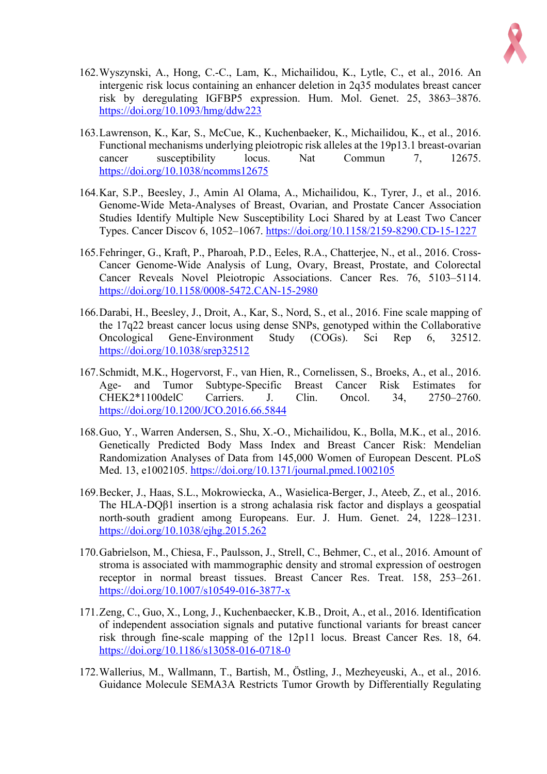

- 162.Wyszynski, A., Hong, C.-C., Lam, K., Michailidou, K., Lytle, C., et al., 2016. An intergenic risk locus containing an enhancer deletion in 2q35 modulates breast cancer risk by deregulating IGFBP5 expression. Hum. Mol. Genet. 25, 3863–3876. https://doi.org/10.1093/hmg/ddw223
- 163.Lawrenson, K., Kar, S., McCue, K., Kuchenbaeker, K., Michailidou, K., et al., 2016. Functional mechanisms underlying pleiotropic risk alleles at the 19p13.1 breast-ovarian cancer susceptibility locus. Nat Commun 7, 12675. https://doi.org/10.1038/ncomms12675
- 164.Kar, S.P., Beesley, J., Amin Al Olama, A., Michailidou, K., Tyrer, J., et al., 2016. Genome-Wide Meta-Analyses of Breast, Ovarian, and Prostate Cancer Association Studies Identify Multiple New Susceptibility Loci Shared by at Least Two Cancer Types. Cancer Discov 6, 1052–1067. https://doi.org/10.1158/2159-8290.CD-15-1227
- 165.Fehringer, G., Kraft, P., Pharoah, P.D., Eeles, R.A., Chatterjee, N., et al., 2016. Cross-Cancer Genome-Wide Analysis of Lung, Ovary, Breast, Prostate, and Colorectal Cancer Reveals Novel Pleiotropic Associations. Cancer Res. 76, 5103–5114. https://doi.org/10.1158/0008-5472.CAN-15-2980
- 166.Darabi, H., Beesley, J., Droit, A., Kar, S., Nord, S., et al., 2016. Fine scale mapping of the 17q22 breast cancer locus using dense SNPs, genotyped within the Collaborative Oncological Gene-Environment Study (COGs). Sci Rep 6, 32512. https://doi.org/10.1038/srep32512
- 167.Schmidt, M.K., Hogervorst, F., van Hien, R., Cornelissen, S., Broeks, A., et al., 2016. Age- and Tumor Subtype-Specific Breast Cancer Risk Estimates for CHEK2\*1100delC Carriers. J. Clin. Oncol. 34, 2750–2760. https://doi.org/10.1200/JCO.2016.66.5844
- 168.Guo, Y., Warren Andersen, S., Shu, X.-O., Michailidou, K., Bolla, M.K., et al., 2016. Genetically Predicted Body Mass Index and Breast Cancer Risk: Mendelian Randomization Analyses of Data from 145,000 Women of European Descent. PLoS Med. 13, e1002105. https://doi.org/10.1371/journal.pmed.1002105
- 169.Becker, J., Haas, S.L., Mokrowiecka, A., Wasielica-Berger, J., Ateeb, Z., et al., 2016. The HLA-DQβ1 insertion is a strong achalasia risk factor and displays a geospatial north-south gradient among Europeans. Eur. J. Hum. Genet. 24, 1228–1231. https://doi.org/10.1038/ejhg.2015.262
- 170.Gabrielson, M., Chiesa, F., Paulsson, J., Strell, C., Behmer, C., et al., 2016. Amount of stroma is associated with mammographic density and stromal expression of oestrogen receptor in normal breast tissues. Breast Cancer Res. Treat. 158, 253–261. https://doi.org/10.1007/s10549-016-3877-x
- 171.Zeng, C., Guo, X., Long, J., Kuchenbaecker, K.B., Droit, A., et al., 2016. Identification of independent association signals and putative functional variants for breast cancer risk through fine-scale mapping of the 12p11 locus. Breast Cancer Res. 18, 64. https://doi.org/10.1186/s13058-016-0718-0
- 172.Wallerius, M., Wallmann, T., Bartish, M., Östling, J., Mezheyeuski, A., et al., 2016. Guidance Molecule SEMA3A Restricts Tumor Growth by Differentially Regulating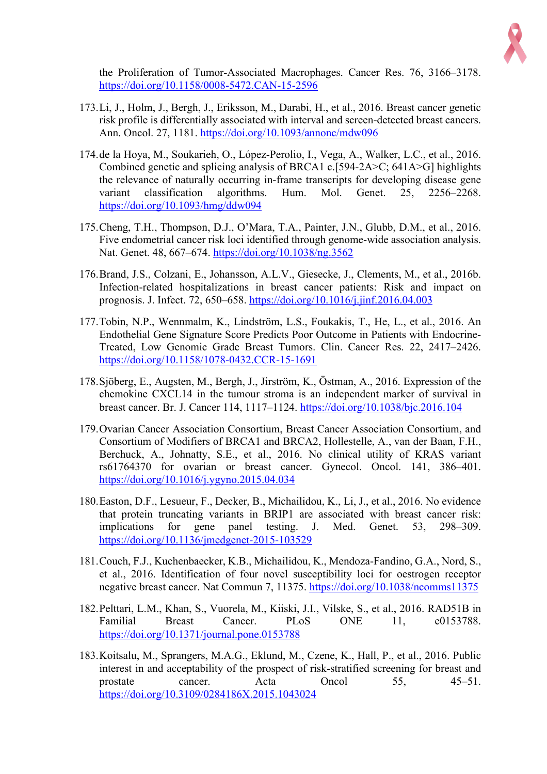

the Proliferation of Tumor-Associated Macrophages. Cancer Res. 76, 3166–3178. https://doi.org/10.1158/0008-5472.CAN-15-2596

- 173.Li, J., Holm, J., Bergh, J., Eriksson, M., Darabi, H., et al., 2016. Breast cancer genetic risk profile is differentially associated with interval and screen-detected breast cancers. Ann. Oncol. 27, 1181. https://doi.org/10.1093/annonc/mdw096
- 174.de la Hoya, M., Soukarieh, O., López-Perolio, I., Vega, A., Walker, L.C., et al., 2016. Combined genetic and splicing analysis of BRCA1 c.[594-2A>C; 641A>G] highlights the relevance of naturally occurring in-frame transcripts for developing disease gene variant classification algorithms. Hum. Mol. Genet. 25, 2256–2268. https://doi.org/10.1093/hmg/ddw094
- 175.Cheng, T.H., Thompson, D.J., O'Mara, T.A., Painter, J.N., Glubb, D.M., et al., 2016. Five endometrial cancer risk loci identified through genome-wide association analysis. Nat. Genet. 48, 667–674. https://doi.org/10.1038/ng.3562
- 176.Brand, J.S., Colzani, E., Johansson, A.L.V., Giesecke, J., Clements, M., et al., 2016b. Infection-related hospitalizations in breast cancer patients: Risk and impact on prognosis. J. Infect. 72, 650–658. https://doi.org/10.1016/j.jinf.2016.04.003
- 177.Tobin, N.P., Wennmalm, K., Lindström, L.S., Foukakis, T., He, L., et al., 2016. An Endothelial Gene Signature Score Predicts Poor Outcome in Patients with Endocrine-Treated, Low Genomic Grade Breast Tumors. Clin. Cancer Res. 22, 2417–2426. https://doi.org/10.1158/1078-0432.CCR-15-1691
- 178.Sjöberg, E., Augsten, M., Bergh, J., Jirström, K., Östman, A., 2016. Expression of the chemokine CXCL14 in the tumour stroma is an independent marker of survival in breast cancer. Br. J. Cancer 114, 1117–1124. https://doi.org/10.1038/bjc.2016.104
- 179.Ovarian Cancer Association Consortium, Breast Cancer Association Consortium, and Consortium of Modifiers of BRCA1 and BRCA2, Hollestelle, A., van der Baan, F.H., Berchuck, A., Johnatty, S.E., et al., 2016. No clinical utility of KRAS variant rs61764370 for ovarian or breast cancer. Gynecol. Oncol. 141, 386–401. https://doi.org/10.1016/j.ygyno.2015.04.034
- 180.Easton, D.F., Lesueur, F., Decker, B., Michailidou, K., Li, J., et al., 2016. No evidence that protein truncating variants in BRIP1 are associated with breast cancer risk: implications for gene panel testing. J. Med. Genet. 53, 298–309. https://doi.org/10.1136/jmedgenet-2015-103529
- 181.Couch, F.J., Kuchenbaecker, K.B., Michailidou, K., Mendoza-Fandino, G.A., Nord, S., et al., 2016. Identification of four novel susceptibility loci for oestrogen receptor negative breast cancer. Nat Commun 7, 11375. https://doi.org/10.1038/ncomms11375
- 182.Pelttari, L.M., Khan, S., Vuorela, M., Kiiski, J.I., Vilske, S., et al., 2016. RAD51B in Familial Breast Cancer. PLoS ONE 11, e0153788. https://doi.org/10.1371/journal.pone.0153788
- 183.Koitsalu, M., Sprangers, M.A.G., Eklund, M., Czene, K., Hall, P., et al., 2016. Public interest in and acceptability of the prospect of risk-stratified screening for breast and prostate cancer. Acta Oncol 55, 45–51. https://doi.org/10.3109/0284186X.2015.1043024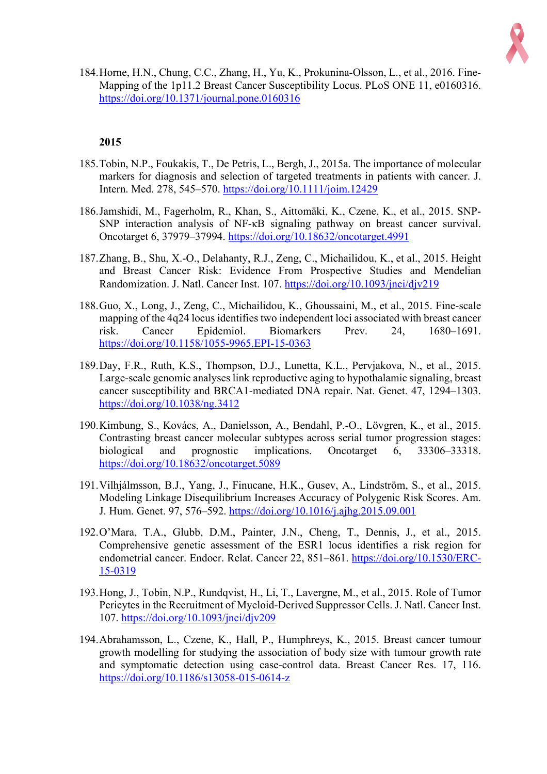

184.Horne, H.N., Chung, C.C., Zhang, H., Yu, K., Prokunina-Olsson, L., et al., 2016. Fine-Mapping of the 1p11.2 Breast Cancer Susceptibility Locus. PLoS ONE 11, e0160316. https://doi.org/10.1371/journal.pone.0160316

- 185.Tobin, N.P., Foukakis, T., De Petris, L., Bergh, J., 2015a. The importance of molecular markers for diagnosis and selection of targeted treatments in patients with cancer. J. Intern. Med. 278, 545–570. https://doi.org/10.1111/joim.12429
- 186.Jamshidi, M., Fagerholm, R., Khan, S., Aittomäki, K., Czene, K., et al., 2015. SNP-SNP interaction analysis of NF-κB signaling pathway on breast cancer survival. Oncotarget 6, 37979–37994. https://doi.org/10.18632/oncotarget.4991
- 187.Zhang, B., Shu, X.-O., Delahanty, R.J., Zeng, C., Michailidou, K., et al., 2015. Height and Breast Cancer Risk: Evidence From Prospective Studies and Mendelian Randomization. J. Natl. Cancer Inst. 107. https://doi.org/10.1093/jnci/djv219
- 188.Guo, X., Long, J., Zeng, C., Michailidou, K., Ghoussaini, M., et al., 2015. Fine-scale mapping of the 4q24 locus identifies two independent loci associated with breast cancer risk. Cancer Epidemiol. Biomarkers Prev. 24, 1680–1691. https://doi.org/10.1158/1055-9965.EPI-15-0363
- 189.Day, F.R., Ruth, K.S., Thompson, D.J., Lunetta, K.L., Pervjakova, N., et al., 2015. Large-scale genomic analyses link reproductive aging to hypothalamic signaling, breast cancer susceptibility and BRCA1-mediated DNA repair. Nat. Genet. 47, 1294–1303. https://doi.org/10.1038/ng.3412
- 190.Kimbung, S., Kovács, A., Danielsson, A., Bendahl, P.-O., Lövgren, K., et al., 2015. Contrasting breast cancer molecular subtypes across serial tumor progression stages: biological and prognostic implications. Oncotarget 6, 33306–33318. https://doi.org/10.18632/oncotarget.5089
- 191.Vilhjálmsson, B.J., Yang, J., Finucane, H.K., Gusev, A., Lindström, S., et al., 2015. Modeling Linkage Disequilibrium Increases Accuracy of Polygenic Risk Scores. Am. J. Hum. Genet. 97, 576–592. https://doi.org/10.1016/j.ajhg.2015.09.001
- 192.O'Mara, T.A., Glubb, D.M., Painter, J.N., Cheng, T., Dennis, J., et al., 2015. Comprehensive genetic assessment of the ESR1 locus identifies a risk region for endometrial cancer. Endocr. Relat. Cancer 22, 851–861. https://doi.org/10.1530/ERC-15-0319
- 193.Hong, J., Tobin, N.P., Rundqvist, H., Li, T., Lavergne, M., et al., 2015. Role of Tumor Pericytes in the Recruitment of Myeloid-Derived Suppressor Cells. J. Natl. Cancer Inst. 107. https://doi.org/10.1093/jnci/djv209
- 194.Abrahamsson, L., Czene, K., Hall, P., Humphreys, K., 2015. Breast cancer tumour growth modelling for studying the association of body size with tumour growth rate and symptomatic detection using case-control data. Breast Cancer Res. 17, 116. https://doi.org/10.1186/s13058-015-0614-z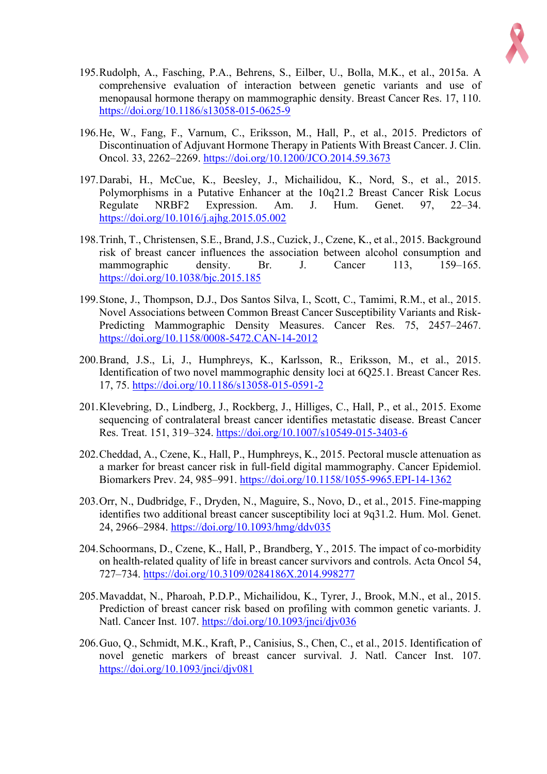

- 195.Rudolph, A., Fasching, P.A., Behrens, S., Eilber, U., Bolla, M.K., et al., 2015a. A comprehensive evaluation of interaction between genetic variants and use of menopausal hormone therapy on mammographic density. Breast Cancer Res. 17, 110. https://doi.org/10.1186/s13058-015-0625-9
- 196.He, W., Fang, F., Varnum, C., Eriksson, M., Hall, P., et al., 2015. Predictors of Discontinuation of Adjuvant Hormone Therapy in Patients With Breast Cancer. J. Clin. Oncol. 33, 2262–2269. https://doi.org/10.1200/JCO.2014.59.3673
- 197.Darabi, H., McCue, K., Beesley, J., Michailidou, K., Nord, S., et al., 2015. Polymorphisms in a Putative Enhancer at the 10q21.2 Breast Cancer Risk Locus Regulate NRBF2 Expression. Am. J. Hum. Genet. 97, 22–34. https://doi.org/10.1016/j.ajhg.2015.05.002
- 198.Trinh, T., Christensen, S.E., Brand, J.S., Cuzick, J., Czene, K., et al., 2015. Background risk of breast cancer influences the association between alcohol consumption and mammographic density. Br. J. Cancer 113, 159–165. https://doi.org/10.1038/bjc.2015.185
- 199.Stone, J., Thompson, D.J., Dos Santos Silva, I., Scott, C., Tamimi, R.M., et al., 2015. Novel Associations between Common Breast Cancer Susceptibility Variants and Risk-Predicting Mammographic Density Measures. Cancer Res. 75, 2457–2467. https://doi.org/10.1158/0008-5472.CAN-14-2012
- 200.Brand, J.S., Li, J., Humphreys, K., Karlsson, R., Eriksson, M., et al., 2015. Identification of two novel mammographic density loci at 6Q25.1. Breast Cancer Res. 17, 75. https://doi.org/10.1186/s13058-015-0591-2
- 201.Klevebring, D., Lindberg, J., Rockberg, J., Hilliges, C., Hall, P., et al., 2015. Exome sequencing of contralateral breast cancer identifies metastatic disease. Breast Cancer Res. Treat. 151, 319–324. https://doi.org/10.1007/s10549-015-3403-6
- 202.Cheddad, A., Czene, K., Hall, P., Humphreys, K., 2015. Pectoral muscle attenuation as a marker for breast cancer risk in full-field digital mammography. Cancer Epidemiol. Biomarkers Prev. 24, 985–991. https://doi.org/10.1158/1055-9965.EPI-14-1362
- 203.Orr, N., Dudbridge, F., Dryden, N., Maguire, S., Novo, D., et al., 2015. Fine-mapping identifies two additional breast cancer susceptibility loci at 9q31.2. Hum. Mol. Genet. 24, 2966–2984. https://doi.org/10.1093/hmg/ddv035
- 204.Schoormans, D., Czene, K., Hall, P., Brandberg, Y., 2015. The impact of co-morbidity on health-related quality of life in breast cancer survivors and controls. Acta Oncol 54, 727–734. https://doi.org/10.3109/0284186X.2014.998277
- 205.Mavaddat, N., Pharoah, P.D.P., Michailidou, K., Tyrer, J., Brook, M.N., et al., 2015. Prediction of breast cancer risk based on profiling with common genetic variants. J. Natl. Cancer Inst. 107. https://doi.org/10.1093/jnci/djv036
- 206.Guo, Q., Schmidt, M.K., Kraft, P., Canisius, S., Chen, C., et al., 2015. Identification of novel genetic markers of breast cancer survival. J. Natl. Cancer Inst. 107. https://doi.org/10.1093/jnci/djv081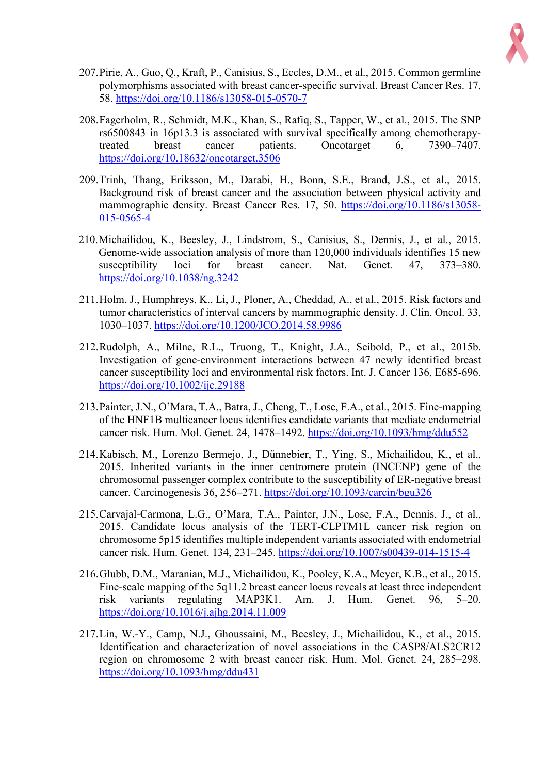

- 207.Pirie, A., Guo, Q., Kraft, P., Canisius, S., Eccles, D.M., et al., 2015. Common germline polymorphisms associated with breast cancer-specific survival. Breast Cancer Res. 17, 58. https://doi.org/10.1186/s13058-015-0570-7
- 208.Fagerholm, R., Schmidt, M.K., Khan, S., Rafiq, S., Tapper, W., et al., 2015. The SNP rs6500843 in 16p13.3 is associated with survival specifically among chemotherapytreated breast cancer patients. Oncotarget 6, 7390–7407. https://doi.org/10.18632/oncotarget.3506
- 209.Trinh, Thang, Eriksson, M., Darabi, H., Bonn, S.E., Brand, J.S., et al., 2015. Background risk of breast cancer and the association between physical activity and mammographic density. Breast Cancer Res. 17, 50. https://doi.org/10.1186/s13058- 015-0565-4
- 210.Michailidou, K., Beesley, J., Lindstrom, S., Canisius, S., Dennis, J., et al., 2015. Genome-wide association analysis of more than 120,000 individuals identifies 15 new susceptibility loci for breast cancer. Nat. Genet. 47, 373–380. https://doi.org/10.1038/ng.3242
- 211.Holm, J., Humphreys, K., Li, J., Ploner, A., Cheddad, A., et al., 2015. Risk factors and tumor characteristics of interval cancers by mammographic density. J. Clin. Oncol. 33, 1030–1037. https://doi.org/10.1200/JCO.2014.58.9986
- 212.Rudolph, A., Milne, R.L., Truong, T., Knight, J.A., Seibold, P., et al., 2015b. Investigation of gene-environment interactions between 47 newly identified breast cancer susceptibility loci and environmental risk factors. Int. J. Cancer 136, E685-696. https://doi.org/10.1002/ijc.29188
- 213.Painter, J.N., O'Mara, T.A., Batra, J., Cheng, T., Lose, F.A., et al., 2015. Fine-mapping of the HNF1B multicancer locus identifies candidate variants that mediate endometrial cancer risk. Hum. Mol. Genet. 24, 1478–1492. https://doi.org/10.1093/hmg/ddu552
- 214.Kabisch, M., Lorenzo Bermejo, J., Dünnebier, T., Ying, S., Michailidou, K., et al., 2015. Inherited variants in the inner centromere protein (INCENP) gene of the chromosomal passenger complex contribute to the susceptibility of ER-negative breast cancer. Carcinogenesis 36, 256–271. https://doi.org/10.1093/carcin/bgu326
- 215.Carvajal-Carmona, L.G., O'Mara, T.A., Painter, J.N., Lose, F.A., Dennis, J., et al., 2015. Candidate locus analysis of the TERT-CLPTM1L cancer risk region on chromosome 5p15 identifies multiple independent variants associated with endometrial cancer risk. Hum. Genet. 134, 231–245. https://doi.org/10.1007/s00439-014-1515-4
- 216.Glubb, D.M., Maranian, M.J., Michailidou, K., Pooley, K.A., Meyer, K.B., et al., 2015. Fine-scale mapping of the 5q11.2 breast cancer locus reveals at least three independent risk variants regulating MAP3K1. Am. J. Hum. Genet. 96, 5–20. https://doi.org/10.1016/j.ajhg.2014.11.009
- 217.Lin, W.-Y., Camp, N.J., Ghoussaini, M., Beesley, J., Michailidou, K., et al., 2015. Identification and characterization of novel associations in the CASP8/ALS2CR12 region on chromosome 2 with breast cancer risk. Hum. Mol. Genet. 24, 285–298. https://doi.org/10.1093/hmg/ddu431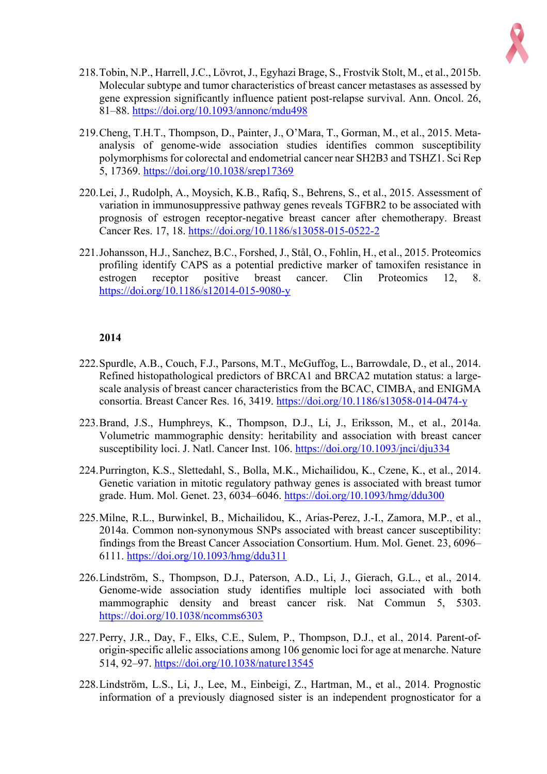

- 218.Tobin, N.P., Harrell, J.C., Lövrot, J., Egyhazi Brage, S., Frostvik Stolt, M., et al., 2015b. Molecular subtype and tumor characteristics of breast cancer metastases as assessed by gene expression significantly influence patient post-relapse survival. Ann. Oncol. 26, 81–88. https://doi.org/10.1093/annonc/mdu498
- 219.Cheng, T.H.T., Thompson, D., Painter, J., O'Mara, T., Gorman, M., et al., 2015. Metaanalysis of genome-wide association studies identifies common susceptibility polymorphisms for colorectal and endometrial cancer near SH2B3 and TSHZ1. Sci Rep 5, 17369. https://doi.org/10.1038/srep17369
- 220.Lei, J., Rudolph, A., Moysich, K.B., Rafiq, S., Behrens, S., et al., 2015. Assessment of variation in immunosuppressive pathway genes reveals TGFBR2 to be associated with prognosis of estrogen receptor-negative breast cancer after chemotherapy. Breast Cancer Res. 17, 18. https://doi.org/10.1186/s13058-015-0522-2
- 221.Johansson, H.J., Sanchez, B.C., Forshed, J., Stål, O., Fohlin, H., et al., 2015. Proteomics profiling identify CAPS as a potential predictive marker of tamoxifen resistance in estrogen receptor positive breast cancer. Clin Proteomics 12, 8. https://doi.org/10.1186/s12014-015-9080-y

- 222.Spurdle, A.B., Couch, F.J., Parsons, M.T., McGuffog, L., Barrowdale, D., et al., 2014. Refined histopathological predictors of BRCA1 and BRCA2 mutation status: a largescale analysis of breast cancer characteristics from the BCAC, CIMBA, and ENIGMA consortia. Breast Cancer Res. 16, 3419. https://doi.org/10.1186/s13058-014-0474-y
- 223.Brand, J.S., Humphreys, K., Thompson, D.J., Li, J., Eriksson, M., et al., 2014a. Volumetric mammographic density: heritability and association with breast cancer susceptibility loci. J. Natl. Cancer Inst. 106. https://doi.org/10.1093/jnci/dju334
- 224.Purrington, K.S., Slettedahl, S., Bolla, M.K., Michailidou, K., Czene, K., et al., 2014. Genetic variation in mitotic regulatory pathway genes is associated with breast tumor grade. Hum. Mol. Genet. 23, 6034–6046. https://doi.org/10.1093/hmg/ddu300
- 225.Milne, R.L., Burwinkel, B., Michailidou, K., Arias-Perez, J.-I., Zamora, M.P., et al., 2014a. Common non-synonymous SNPs associated with breast cancer susceptibility: findings from the Breast Cancer Association Consortium. Hum. Mol. Genet. 23, 6096– 6111. https://doi.org/10.1093/hmg/ddu311
- 226.Lindström, S., Thompson, D.J., Paterson, A.D., Li, J., Gierach, G.L., et al., 2014. Genome-wide association study identifies multiple loci associated with both mammographic density and breast cancer risk. Nat Commun 5, 5303. https://doi.org/10.1038/ncomms6303
- 227.Perry, J.R., Day, F., Elks, C.E., Sulem, P., Thompson, D.J., et al., 2014. Parent-oforigin-specific allelic associations among 106 genomic loci for age at menarche. Nature 514, 92–97. https://doi.org/10.1038/nature13545
- 228.Lindström, L.S., Li, J., Lee, M., Einbeigi, Z., Hartman, M., et al., 2014. Prognostic information of a previously diagnosed sister is an independent prognosticator for a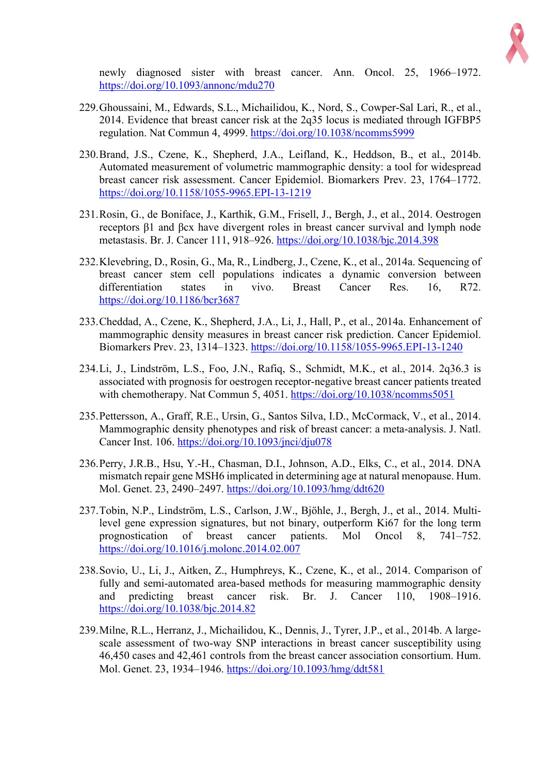

newly diagnosed sister with breast cancer. Ann. Oncol. 25, 1966–1972. https://doi.org/10.1093/annonc/mdu270

- 229.Ghoussaini, M., Edwards, S.L., Michailidou, K., Nord, S., Cowper-Sal Lari, R., et al., 2014. Evidence that breast cancer risk at the 2q35 locus is mediated through IGFBP5 regulation. Nat Commun 4, 4999. https://doi.org/10.1038/ncomms5999
- 230.Brand, J.S., Czene, K., Shepherd, J.A., Leifland, K., Heddson, B., et al., 2014b. Automated measurement of volumetric mammographic density: a tool for widespread breast cancer risk assessment. Cancer Epidemiol. Biomarkers Prev. 23, 1764–1772. https://doi.org/10.1158/1055-9965.EPI-13-1219
- 231.Rosin, G., de Boniface, J., Karthik, G.M., Frisell, J., Bergh, J., et al., 2014. Oestrogen receptors β1 and βcx have divergent roles in breast cancer survival and lymph node metastasis. Br. J. Cancer 111, 918–926. https://doi.org/10.1038/bjc.2014.398
- 232.Klevebring, D., Rosin, G., Ma, R., Lindberg, J., Czene, K., et al., 2014a. Sequencing of breast cancer stem cell populations indicates a dynamic conversion between differentiation states in vivo. Breast Cancer Res. 16, R72. https://doi.org/10.1186/bcr3687
- 233.Cheddad, A., Czene, K., Shepherd, J.A., Li, J., Hall, P., et al., 2014a. Enhancement of mammographic density measures in breast cancer risk prediction. Cancer Epidemiol. Biomarkers Prev. 23, 1314–1323. https://doi.org/10.1158/1055-9965.EPI-13-1240
- 234.Li, J., Lindström, L.S., Foo, J.N., Rafiq, S., Schmidt, M.K., et al., 2014. 2q36.3 is associated with prognosis for oestrogen receptor-negative breast cancer patients treated with chemotherapy. Nat Commun 5, 4051. https://doi.org/10.1038/ncomms5051
- 235.Pettersson, A., Graff, R.E., Ursin, G., Santos Silva, I.D., McCormack, V., et al., 2014. Mammographic density phenotypes and risk of breast cancer: a meta-analysis. J. Natl. Cancer Inst. 106. https://doi.org/10.1093/jnci/dju078
- 236.Perry, J.R.B., Hsu, Y.-H., Chasman, D.I., Johnson, A.D., Elks, C., et al., 2014. DNA mismatch repair gene MSH6 implicated in determining age at natural menopause. Hum. Mol. Genet. 23, 2490–2497. https://doi.org/10.1093/hmg/ddt620
- 237.Tobin, N.P., Lindström, L.S., Carlson, J.W., Bjöhle, J., Bergh, J., et al., 2014. Multilevel gene expression signatures, but not binary, outperform Ki67 for the long term prognostication of breast cancer patients. Mol Oncol 8, 741–752. https://doi.org/10.1016/j.molonc.2014.02.007
- 238.Sovio, U., Li, J., Aitken, Z., Humphreys, K., Czene, K., et al., 2014. Comparison of fully and semi-automated area-based methods for measuring mammographic density and predicting breast cancer risk. Br. J. Cancer 110, 1908–1916. https://doi.org/10.1038/bjc.2014.82
- 239.Milne, R.L., Herranz, J., Michailidou, K., Dennis, J., Tyrer, J.P., et al., 2014b. A largescale assessment of two-way SNP interactions in breast cancer susceptibility using 46,450 cases and 42,461 controls from the breast cancer association consortium. Hum. Mol. Genet. 23, 1934–1946. https://doi.org/10.1093/hmg/ddt581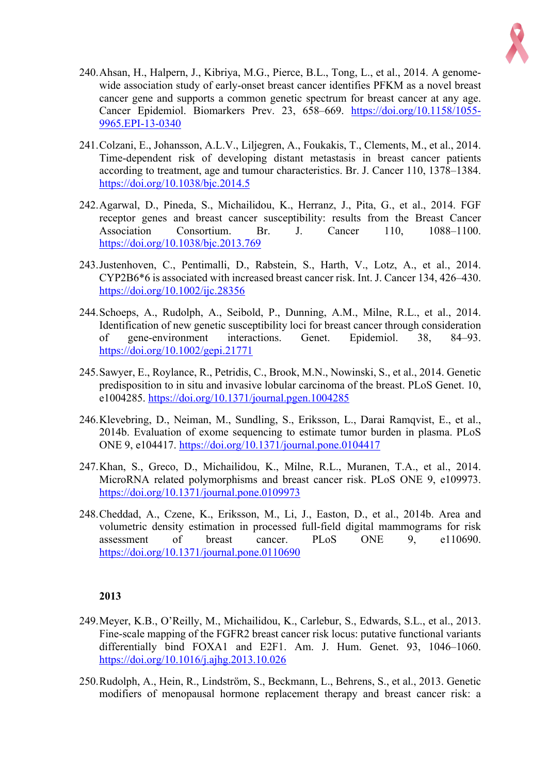

- 240.Ahsan, H., Halpern, J., Kibriya, M.G., Pierce, B.L., Tong, L., et al., 2014. A genomewide association study of early-onset breast cancer identifies PFKM as a novel breast cancer gene and supports a common genetic spectrum for breast cancer at any age. Cancer Epidemiol. Biomarkers Prev. 23, 658–669. https://doi.org/10.1158/1055- 9965.EPI-13-0340
- 241.Colzani, E., Johansson, A.L.V., Liljegren, A., Foukakis, T., Clements, M., et al., 2014. Time-dependent risk of developing distant metastasis in breast cancer patients according to treatment, age and tumour characteristics. Br. J. Cancer 110, 1378–1384. https://doi.org/10.1038/bjc.2014.5
- 242.Agarwal, D., Pineda, S., Michailidou, K., Herranz, J., Pita, G., et al., 2014. FGF receptor genes and breast cancer susceptibility: results from the Breast Cancer Association Consortium. Br. J. Cancer 110, 1088–1100. https://doi.org/10.1038/bjc.2013.769
- 243.Justenhoven, C., Pentimalli, D., Rabstein, S., Harth, V., Lotz, A., et al., 2014. CYP2B6\*6 is associated with increased breast cancer risk. Int. J. Cancer 134, 426–430. https://doi.org/10.1002/ijc.28356
- 244.Schoeps, A., Rudolph, A., Seibold, P., Dunning, A.M., Milne, R.L., et al., 2014. Identification of new genetic susceptibility loci for breast cancer through consideration of gene-environment interactions. Genet. Epidemiol. 38, 84–93. https://doi.org/10.1002/gepi.21771
- 245.Sawyer, E., Roylance, R., Petridis, C., Brook, M.N., Nowinski, S., et al., 2014. Genetic predisposition to in situ and invasive lobular carcinoma of the breast. PLoS Genet. 10, e1004285. https://doi.org/10.1371/journal.pgen.1004285
- 246.Klevebring, D., Neiman, M., Sundling, S., Eriksson, L., Darai Ramqvist, E., et al., 2014b. Evaluation of exome sequencing to estimate tumor burden in plasma. PLoS ONE 9, e104417. https://doi.org/10.1371/journal.pone.0104417
- 247.Khan, S., Greco, D., Michailidou, K., Milne, R.L., Muranen, T.A., et al., 2014. MicroRNA related polymorphisms and breast cancer risk. PLoS ONE 9, e109973. https://doi.org/10.1371/journal.pone.0109973
- 248.Cheddad, A., Czene, K., Eriksson, M., Li, J., Easton, D., et al., 2014b. Area and volumetric density estimation in processed full-field digital mammograms for risk assessment of breast cancer. PLoS ONE 9, e110690. https://doi.org/10.1371/journal.pone.0110690

- 249.Meyer, K.B., O'Reilly, M., Michailidou, K., Carlebur, S., Edwards, S.L., et al., 2013. Fine-scale mapping of the FGFR2 breast cancer risk locus: putative functional variants differentially bind FOXA1 and E2F1. Am. J. Hum. Genet. 93, 1046–1060. https://doi.org/10.1016/j.ajhg.2013.10.026
- 250.Rudolph, A., Hein, R., Lindström, S., Beckmann, L., Behrens, S., et al., 2013. Genetic modifiers of menopausal hormone replacement therapy and breast cancer risk: a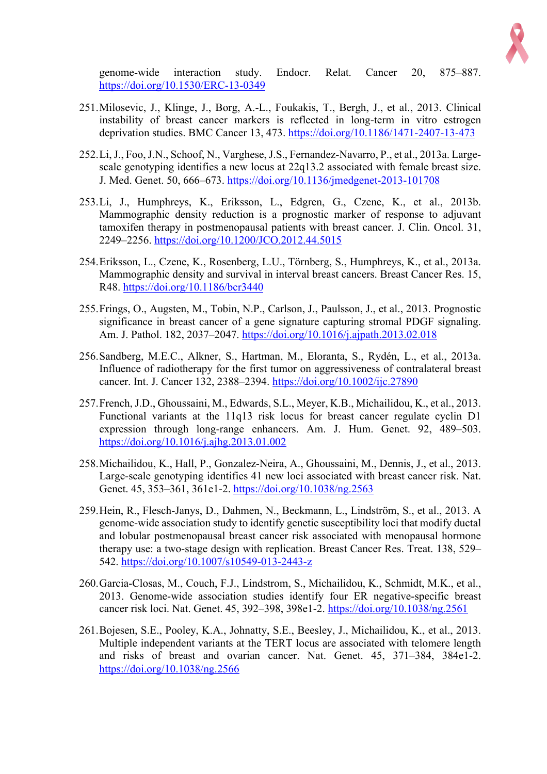

genome-wide interaction study. Endocr. Relat. Cancer 20, 875–887. https://doi.org/10.1530/ERC-13-0349

- 251.Milosevic, J., Klinge, J., Borg, A.-L., Foukakis, T., Bergh, J., et al., 2013. Clinical instability of breast cancer markers is reflected in long-term in vitro estrogen deprivation studies. BMC Cancer 13, 473. https://doi.org/10.1186/1471-2407-13-473
- 252.Li, J., Foo, J.N., Schoof, N., Varghese, J.S., Fernandez-Navarro, P., et al., 2013a. Largescale genotyping identifies a new locus at 22q13.2 associated with female breast size. J. Med. Genet. 50, 666–673. https://doi.org/10.1136/jmedgenet-2013-101708
- 253.Li, J., Humphreys, K., Eriksson, L., Edgren, G., Czene, K., et al., 2013b. Mammographic density reduction is a prognostic marker of response to adjuvant tamoxifen therapy in postmenopausal patients with breast cancer. J. Clin. Oncol. 31, 2249–2256. https://doi.org/10.1200/JCO.2012.44.5015
- 254.Eriksson, L., Czene, K., Rosenberg, L.U., Törnberg, S., Humphreys, K., et al., 2013a. Mammographic density and survival in interval breast cancers. Breast Cancer Res. 15, R48. https://doi.org/10.1186/bcr3440
- 255.Frings, O., Augsten, M., Tobin, N.P., Carlson, J., Paulsson, J., et al., 2013. Prognostic significance in breast cancer of a gene signature capturing stromal PDGF signaling. Am. J. Pathol. 182, 2037–2047. https://doi.org/10.1016/j.ajpath.2013.02.018
- 256.Sandberg, M.E.C., Alkner, S., Hartman, M., Eloranta, S., Rydén, L., et al., 2013a. Influence of radiotherapy for the first tumor on aggressiveness of contralateral breast cancer. Int. J. Cancer 132, 2388–2394. https://doi.org/10.1002/ijc.27890
- 257.French, J.D., Ghoussaini, M., Edwards, S.L., Meyer, K.B., Michailidou, K., et al., 2013. Functional variants at the 11q13 risk locus for breast cancer regulate cyclin D1 expression through long-range enhancers. Am. J. Hum. Genet. 92, 489–503. https://doi.org/10.1016/j.ajhg.2013.01.002
- 258.Michailidou, K., Hall, P., Gonzalez-Neira, A., Ghoussaini, M., Dennis, J., et al., 2013. Large-scale genotyping identifies 41 new loci associated with breast cancer risk. Nat. Genet. 45, 353–361, 361e1-2. https://doi.org/10.1038/ng.2563
- 259.Hein, R., Flesch-Janys, D., Dahmen, N., Beckmann, L., Lindström, S., et al., 2013. A genome-wide association study to identify genetic susceptibility loci that modify ductal and lobular postmenopausal breast cancer risk associated with menopausal hormone therapy use: a two-stage design with replication. Breast Cancer Res. Treat. 138, 529– 542. https://doi.org/10.1007/s10549-013-2443-z
- 260.Garcia-Closas, M., Couch, F.J., Lindstrom, S., Michailidou, K., Schmidt, M.K., et al., 2013. Genome-wide association studies identify four ER negative-specific breast cancer risk loci. Nat. Genet. 45, 392–398, 398e1-2. https://doi.org/10.1038/ng.2561
- 261.Bojesen, S.E., Pooley, K.A., Johnatty, S.E., Beesley, J., Michailidou, K., et al., 2013. Multiple independent variants at the TERT locus are associated with telomere length and risks of breast and ovarian cancer. Nat. Genet. 45, 371–384, 384e1-2. https://doi.org/10.1038/ng.2566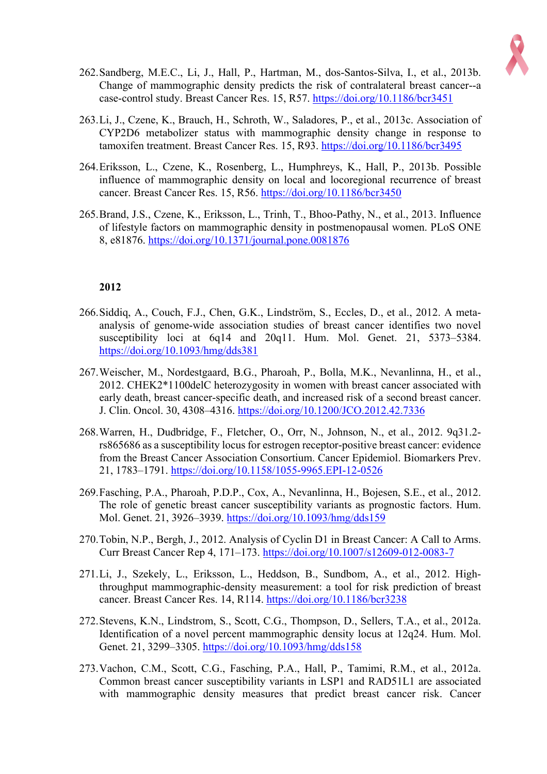

- 262.Sandberg, M.E.C., Li, J., Hall, P., Hartman, M., dos-Santos-Silva, I., et al., 2013b. Change of mammographic density predicts the risk of contralateral breast cancer--a case-control study. Breast Cancer Res. 15, R57. https://doi.org/10.1186/bcr3451
- 263.Li, J., Czene, K., Brauch, H., Schroth, W., Saladores, P., et al., 2013c. Association of CYP2D6 metabolizer status with mammographic density change in response to tamoxifen treatment. Breast Cancer Res. 15, R93. https://doi.org/10.1186/bcr3495
- 264.Eriksson, L., Czene, K., Rosenberg, L., Humphreys, K., Hall, P., 2013b. Possible influence of mammographic density on local and locoregional recurrence of breast cancer. Breast Cancer Res. 15, R56. https://doi.org/10.1186/bcr3450
- 265.Brand, J.S., Czene, K., Eriksson, L., Trinh, T., Bhoo-Pathy, N., et al., 2013. Influence of lifestyle factors on mammographic density in postmenopausal women. PLoS ONE 8, e81876. https://doi.org/10.1371/journal.pone.0081876

- 266.Siddiq, A., Couch, F.J., Chen, G.K., Lindström, S., Eccles, D., et al., 2012. A metaanalysis of genome-wide association studies of breast cancer identifies two novel susceptibility loci at 6q14 and 20q11. Hum. Mol. Genet. 21, 5373–5384. https://doi.org/10.1093/hmg/dds381
- 267.Weischer, M., Nordestgaard, B.G., Pharoah, P., Bolla, M.K., Nevanlinna, H., et al., 2012. CHEK2\*1100delC heterozygosity in women with breast cancer associated with early death, breast cancer-specific death, and increased risk of a second breast cancer. J. Clin. Oncol. 30, 4308–4316. https://doi.org/10.1200/JCO.2012.42.7336
- 268.Warren, H., Dudbridge, F., Fletcher, O., Orr, N., Johnson, N., et al., 2012. 9q31.2 rs865686 as a susceptibility locus for estrogen receptor-positive breast cancer: evidence from the Breast Cancer Association Consortium. Cancer Epidemiol. Biomarkers Prev. 21, 1783–1791. https://doi.org/10.1158/1055-9965.EPI-12-0526
- 269.Fasching, P.A., Pharoah, P.D.P., Cox, A., Nevanlinna, H., Bojesen, S.E., et al., 2012. The role of genetic breast cancer susceptibility variants as prognostic factors. Hum. Mol. Genet. 21, 3926–3939. https://doi.org/10.1093/hmg/dds159
- 270.Tobin, N.P., Bergh, J., 2012. Analysis of Cyclin D1 in Breast Cancer: A Call to Arms. Curr Breast Cancer Rep 4, 171–173. https://doi.org/10.1007/s12609-012-0083-7
- 271.Li, J., Szekely, L., Eriksson, L., Heddson, B., Sundbom, A., et al., 2012. Highthroughput mammographic-density measurement: a tool for risk prediction of breast cancer. Breast Cancer Res. 14, R114. https://doi.org/10.1186/bcr3238
- 272.Stevens, K.N., Lindstrom, S., Scott, C.G., Thompson, D., Sellers, T.A., et al., 2012a. Identification of a novel percent mammographic density locus at 12q24. Hum. Mol. Genet. 21, 3299–3305. https://doi.org/10.1093/hmg/dds158
- 273.Vachon, C.M., Scott, C.G., Fasching, P.A., Hall, P., Tamimi, R.M., et al., 2012a. Common breast cancer susceptibility variants in LSP1 and RAD51L1 are associated with mammographic density measures that predict breast cancer risk. Cancer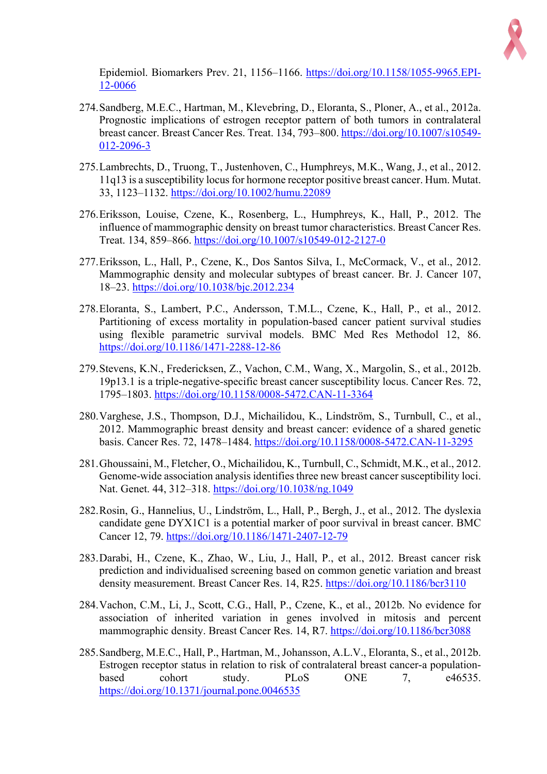

Epidemiol. Biomarkers Prev. 21, 1156–1166. https://doi.org/10.1158/1055-9965.EPI-12-0066

- 274.Sandberg, M.E.C., Hartman, M., Klevebring, D., Eloranta, S., Ploner, A., et al., 2012a. Prognostic implications of estrogen receptor pattern of both tumors in contralateral breast cancer. Breast Cancer Res. Treat. 134, 793–800. https://doi.org/10.1007/s10549- 012-2096-3
- 275.Lambrechts, D., Truong, T., Justenhoven, C., Humphreys, M.K., Wang, J., et al., 2012. 11q13 is a susceptibility locus for hormone receptor positive breast cancer. Hum. Mutat. 33, 1123–1132. https://doi.org/10.1002/humu.22089
- 276.Eriksson, Louise, Czene, K., Rosenberg, L., Humphreys, K., Hall, P., 2012. The influence of mammographic density on breast tumor characteristics. Breast Cancer Res. Treat. 134, 859–866. https://doi.org/10.1007/s10549-012-2127-0
- 277.Eriksson, L., Hall, P., Czene, K., Dos Santos Silva, I., McCormack, V., et al., 2012. Mammographic density and molecular subtypes of breast cancer. Br. J. Cancer 107, 18–23. https://doi.org/10.1038/bjc.2012.234
- 278.Eloranta, S., Lambert, P.C., Andersson, T.M.L., Czene, K., Hall, P., et al., 2012. Partitioning of excess mortality in population-based cancer patient survival studies using flexible parametric survival models. BMC Med Res Methodol 12, 86. https://doi.org/10.1186/1471-2288-12-86
- 279.Stevens, K.N., Fredericksen, Z., Vachon, C.M., Wang, X., Margolin, S., et al., 2012b. 19p13.1 is a triple-negative-specific breast cancer susceptibility locus. Cancer Res. 72, 1795–1803. https://doi.org/10.1158/0008-5472.CAN-11-3364
- 280.Varghese, J.S., Thompson, D.J., Michailidou, K., Lindström, S., Turnbull, C., et al., 2012. Mammographic breast density and breast cancer: evidence of a shared genetic basis. Cancer Res. 72, 1478–1484. https://doi.org/10.1158/0008-5472.CAN-11-3295
- 281.Ghoussaini, M., Fletcher, O., Michailidou, K., Turnbull, C., Schmidt, M.K., et al., 2012. Genome-wide association analysis identifies three new breast cancer susceptibility loci. Nat. Genet. 44, 312–318. https://doi.org/10.1038/ng.1049
- 282.Rosin, G., Hannelius, U., Lindström, L., Hall, P., Bergh, J., et al., 2012. The dyslexia candidate gene DYX1C1 is a potential marker of poor survival in breast cancer. BMC Cancer 12, 79. https://doi.org/10.1186/1471-2407-12-79
- 283.Darabi, H., Czene, K., Zhao, W., Liu, J., Hall, P., et al., 2012. Breast cancer risk prediction and individualised screening based on common genetic variation and breast density measurement. Breast Cancer Res. 14, R25. https://doi.org/10.1186/bcr3110
- 284.Vachon, C.M., Li, J., Scott, C.G., Hall, P., Czene, K., et al., 2012b. No evidence for association of inherited variation in genes involved in mitosis and percent mammographic density. Breast Cancer Res. 14, R7. https://doi.org/10.1186/bcr3088
- 285.Sandberg, M.E.C., Hall, P., Hartman, M., Johansson, A.L.V., Eloranta, S., et al., 2012b. Estrogen receptor status in relation to risk of contralateral breast cancer-a populationbased cohort study. PLoS ONE 7, e46535. https://doi.org/10.1371/journal.pone.0046535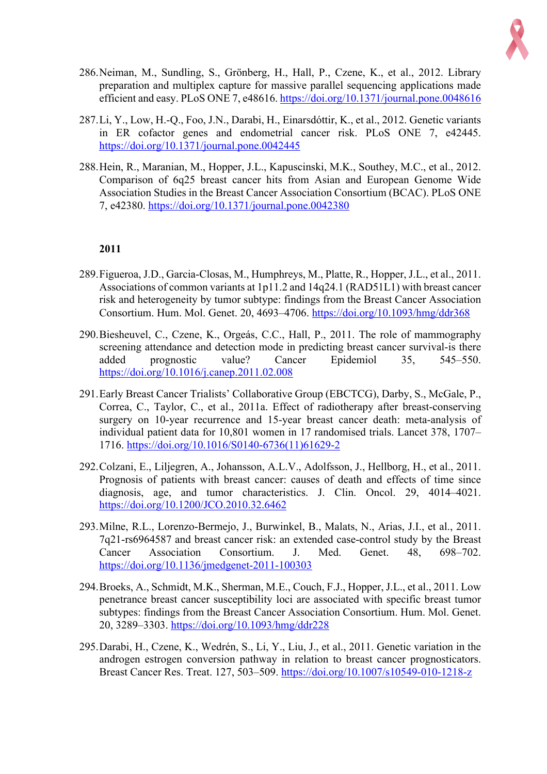

- 286.Neiman, M., Sundling, S., Grönberg, H., Hall, P., Czene, K., et al., 2012. Library preparation and multiplex capture for massive parallel sequencing applications made efficient and easy. PLoS ONE 7, e48616. https://doi.org/10.1371/journal.pone.0048616
- 287.Li, Y., Low, H.-Q., Foo, J.N., Darabi, H., Einarsdόttir, K., et al., 2012. Genetic variants in ER cofactor genes and endometrial cancer risk. PLoS ONE 7, e42445. https://doi.org/10.1371/journal.pone.0042445
- 288.Hein, R., Maranian, M., Hopper, J.L., Kapuscinski, M.K., Southey, M.C., et al., 2012. Comparison of 6q25 breast cancer hits from Asian and European Genome Wide Association Studies in the Breast Cancer Association Consortium (BCAC). PLoS ONE 7, e42380. https://doi.org/10.1371/journal.pone.0042380

- 289.Figueroa, J.D., Garcia-Closas, M., Humphreys, M., Platte, R., Hopper, J.L., et al., 2011. Associations of common variants at 1p11.2 and 14q24.1 (RAD51L1) with breast cancer risk and heterogeneity by tumor subtype: findings from the Breast Cancer Association Consortium. Hum. Mol. Genet. 20, 4693–4706. https://doi.org/10.1093/hmg/ddr368
- 290.Biesheuvel, C., Czene, K., Orgeás, C.C., Hall, P., 2011. The role of mammography screening attendance and detection mode in predicting breast cancer survival-is there added prognostic value? Cancer Epidemiol 35, 545–550. https://doi.org/10.1016/j.canep.2011.02.008
- 291.Early Breast Cancer Trialists' Collaborative Group (EBCTCG), Darby, S., McGale, P., Correa, C., Taylor, C., et al., 2011a. Effect of radiotherapy after breast-conserving surgery on 10-year recurrence and 15-year breast cancer death: meta-analysis of individual patient data for 10,801 women in 17 randomised trials. Lancet 378, 1707– 1716. https://doi.org/10.1016/S0140-6736(11)61629-2
- 292.Colzani, E., Liljegren, A., Johansson, A.L.V., Adolfsson, J., Hellborg, H., et al., 2011. Prognosis of patients with breast cancer: causes of death and effects of time since diagnosis, age, and tumor characteristics. J. Clin. Oncol. 29, 4014–4021. https://doi.org/10.1200/JCO.2010.32.6462
- 293.Milne, R.L., Lorenzo-Bermejo, J., Burwinkel, B., Malats, N., Arias, J.I., et al., 2011. 7q21-rs6964587 and breast cancer risk: an extended case-control study by the Breast Cancer Association Consortium. J. Med. Genet. 48, 698–702. https://doi.org/10.1136/jmedgenet-2011-100303
- 294.Broeks, A., Schmidt, M.K., Sherman, M.E., Couch, F.J., Hopper, J.L., et al., 2011. Low penetrance breast cancer susceptibility loci are associated with specific breast tumor subtypes: findings from the Breast Cancer Association Consortium. Hum. Mol. Genet. 20, 3289–3303. https://doi.org/10.1093/hmg/ddr228
- 295.Darabi, H., Czene, K., Wedrén, S., Li, Y., Liu, J., et al., 2011. Genetic variation in the androgen estrogen conversion pathway in relation to breast cancer prognosticators. Breast Cancer Res. Treat. 127, 503–509. https://doi.org/10.1007/s10549-010-1218-z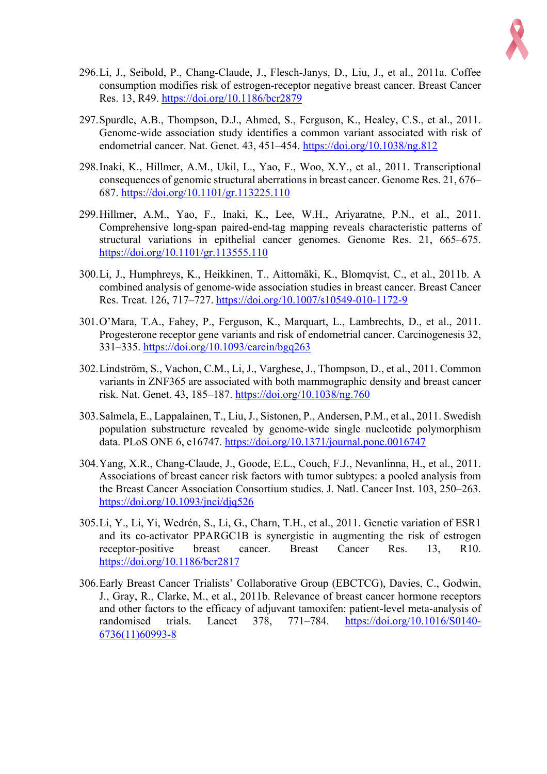

- 296.Li, J., Seibold, P., Chang-Claude, J., Flesch-Janys, D., Liu, J., et al., 2011a. Coffee consumption modifies risk of estrogen-receptor negative breast cancer. Breast Cancer Res. 13, R49. https://doi.org/10.1186/bcr2879
- 297.Spurdle, A.B., Thompson, D.J., Ahmed, S., Ferguson, K., Healey, C.S., et al., 2011. Genome-wide association study identifies a common variant associated with risk of endometrial cancer. Nat. Genet. 43, 451–454. https://doi.org/10.1038/ng.812
- 298.Inaki, K., Hillmer, A.M., Ukil, L., Yao, F., Woo, X.Y., et al., 2011. Transcriptional consequences of genomic structural aberrations in breast cancer. Genome Res. 21, 676– 687. https://doi.org/10.1101/gr.113225.110
- 299.Hillmer, A.M., Yao, F., Inaki, K., Lee, W.H., Ariyaratne, P.N., et al., 2011. Comprehensive long-span paired-end-tag mapping reveals characteristic patterns of structural variations in epithelial cancer genomes. Genome Res. 21, 665–675. https://doi.org/10.1101/gr.113555.110
- 300.Li, J., Humphreys, K., Heikkinen, T., Aittomäki, K., Blomqvist, C., et al., 2011b. A combined analysis of genome-wide association studies in breast cancer. Breast Cancer Res. Treat. 126, 717–727. https://doi.org/10.1007/s10549-010-1172-9
- 301.O'Mara, T.A., Fahey, P., Ferguson, K., Marquart, L., Lambrechts, D., et al., 2011. Progesterone receptor gene variants and risk of endometrial cancer. Carcinogenesis 32, 331–335. https://doi.org/10.1093/carcin/bgq263
- 302.Lindström, S., Vachon, C.M., Li, J., Varghese, J., Thompson, D., et al., 2011. Common variants in ZNF365 are associated with both mammographic density and breast cancer risk. Nat. Genet. 43, 185–187. https://doi.org/10.1038/ng.760
- 303.Salmela, E., Lappalainen, T., Liu, J., Sistonen, P., Andersen, P.M., et al., 2011. Swedish population substructure revealed by genome-wide single nucleotide polymorphism data. PLoS ONE 6, e16747. https://doi.org/10.1371/journal.pone.0016747
- 304.Yang, X.R., Chang-Claude, J., Goode, E.L., Couch, F.J., Nevanlinna, H., et al., 2011. Associations of breast cancer risk factors with tumor subtypes: a pooled analysis from the Breast Cancer Association Consortium studies. J. Natl. Cancer Inst. 103, 250–263. https://doi.org/10.1093/jnci/djq526
- 305.Li, Y., Li, Yi, Wedrén, S., Li, G., Charn, T.H., et al., 2011. Genetic variation of ESR1 and its co-activator PPARGC1B is synergistic in augmenting the risk of estrogen receptor-positive breast cancer. Breast Cancer Res. 13, R10. https://doi.org/10.1186/bcr2817
- 306.Early Breast Cancer Trialists' Collaborative Group (EBCTCG), Davies, C., Godwin, J., Gray, R., Clarke, M., et al., 2011b. Relevance of breast cancer hormone receptors and other factors to the efficacy of adjuvant tamoxifen: patient-level meta-analysis of randomised trials. Lancet 378, 771–784. https://doi.org/10.1016/S0140- 6736(11)60993-8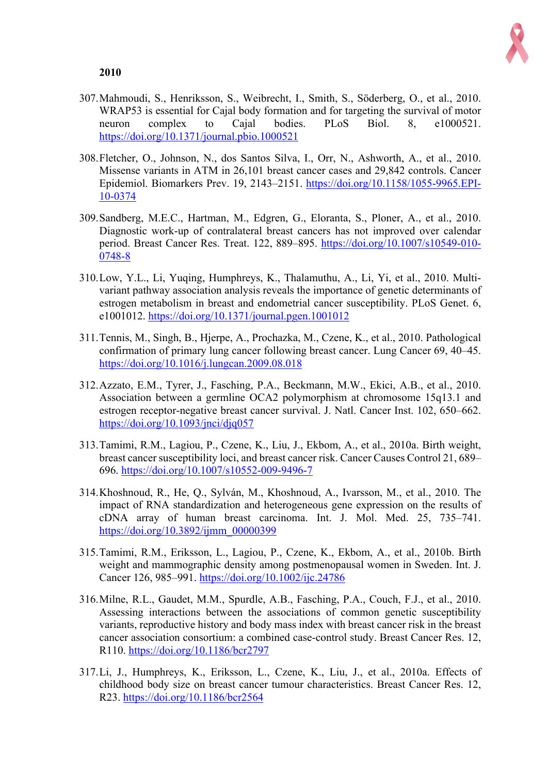

- 307.Mahmoudi, S., Henriksson, S., Weibrecht, I., Smith, S., Söderberg, O., et al., 2010. WRAP53 is essential for Cajal body formation and for targeting the survival of motor neuron complex to Cajal bodies. PLoS Biol. 8, e1000521. https://doi.org/10.1371/journal.pbio.1000521
- 308.Fletcher, O., Johnson, N., dos Santos Silva, I., Orr, N., Ashworth, A., et al., 2010. Missense variants in ATM in 26,101 breast cancer cases and 29,842 controls. Cancer Epidemiol. Biomarkers Prev. 19, 2143–2151. https://doi.org/10.1158/1055-9965.EPI-10-0374
- 309.Sandberg, M.E.C., Hartman, M., Edgren, G., Eloranta, S., Ploner, A., et al., 2010. Diagnostic work-up of contralateral breast cancers has not improved over calendar period. Breast Cancer Res. Treat. 122, 889–895. https://doi.org/10.1007/s10549-010- 0748-8
- 310.Low, Y.L., Li, Yuqing, Humphreys, K., Thalamuthu, A., Li, Yi, et al., 2010. Multivariant pathway association analysis reveals the importance of genetic determinants of estrogen metabolism in breast and endometrial cancer susceptibility. PLoS Genet. 6, e1001012. https://doi.org/10.1371/journal.pgen.1001012
- 311.Tennis, M., Singh, B., Hjerpe, A., Prochazka, M., Czene, K., et al., 2010. Pathological confirmation of primary lung cancer following breast cancer. Lung Cancer 69, 40–45. https://doi.org/10.1016/j.lungcan.2009.08.018
- 312.Azzato, E.M., Tyrer, J., Fasching, P.A., Beckmann, M.W., Ekici, A.B., et al., 2010. Association between a germline OCA2 polymorphism at chromosome 15q13.1 and estrogen receptor-negative breast cancer survival. J. Natl. Cancer Inst. 102, 650–662. https://doi.org/10.1093/jnci/djq057
- 313.Tamimi, R.M., Lagiou, P., Czene, K., Liu, J., Ekbom, A., et al., 2010a. Birth weight, breast cancer susceptibility loci, and breast cancer risk. Cancer Causes Control 21, 689– 696. https://doi.org/10.1007/s10552-009-9496-7
- 314.Khoshnoud, R., He, Q., Sylván, M., Khoshnoud, A., Ivarsson, M., et al., 2010. The impact of RNA standardization and heterogeneous gene expression on the results of cDNA array of human breast carcinoma. Int. J. Mol. Med. 25, 735–741. https://doi.org/10.3892/ijmm\_00000399
- 315.Tamimi, R.M., Eriksson, L., Lagiou, P., Czene, K., Ekbom, A., et al., 2010b. Birth weight and mammographic density among postmenopausal women in Sweden. Int. J. Cancer 126, 985–991. https://doi.org/10.1002/ijc.24786
- 316.Milne, R.L., Gaudet, M.M., Spurdle, A.B., Fasching, P.A., Couch, F.J., et al., 2010. Assessing interactions between the associations of common genetic susceptibility variants, reproductive history and body mass index with breast cancer risk in the breast cancer association consortium: a combined case-control study. Breast Cancer Res. 12, R110. https://doi.org/10.1186/bcr2797
- 317.Li, J., Humphreys, K., Eriksson, L., Czene, K., Liu, J., et al., 2010a. Effects of childhood body size on breast cancer tumour characteristics. Breast Cancer Res. 12, R23. https://doi.org/10.1186/bcr2564